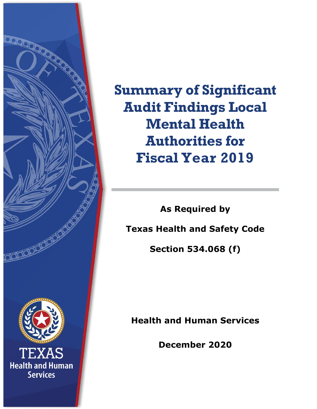

**Summary of Significant Audit Findings Local Mental Health Authorities for Fiscal Year 2019**

**As Required by Texas Health and Safety Code Section 534.068 (f)**

**Health and Human Services**

**December 2020**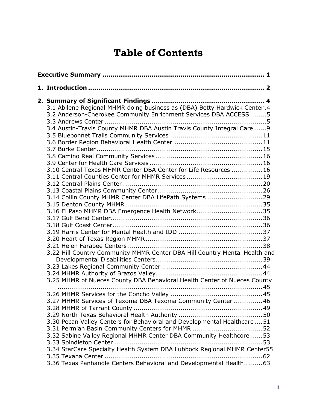# **Table of Contents**

|  | 3.1 Abilene Regional MHMR doing business as (DBA) Betty Hardwick Center.4<br>3.2 Anderson-Cherokee Community Enrichment Services DBA ACCESS  5  |  |
|--|-------------------------------------------------------------------------------------------------------------------------------------------------|--|
|  | 3.4 Austin-Travis County MHMR DBA Austin Travis County Integral Care  9                                                                         |  |
|  | 3.10 Central Texas MHMR Center DBA Center for Life Resources 16                                                                                 |  |
|  | 3.11 Central Counties Center for MHMR Services19                                                                                                |  |
|  | 3.14 Collin County MHMR Center DBA LifePath Systems 29<br>3.16 El Paso MHMR DBA Emergence Health Network35                                      |  |
|  |                                                                                                                                                 |  |
|  |                                                                                                                                                 |  |
|  | 3.22 Hill Country Community MHMR Center DBA Hill Country Mental Health and                                                                      |  |
|  | 3.25 MHMR of Nueces County DBA Behavioral Health Center of Nueces County                                                                        |  |
|  | 3.27 MHMR Services of Texoma DBA Texoma Community Center  46                                                                                    |  |
|  | 3.30 Pecan Valley Centers for Behavioral and Developmental Healthcare51                                                                         |  |
|  | 3.32 Sabine Valley Regional MHMR Center DBA Community Healthcore 53<br>3.34 StarCare Specialty Health System DBA Lubbock Regional MHMR Center55 |  |
|  | 3.36 Texas Panhandle Centers Behavioral and Developmental Health 63                                                                             |  |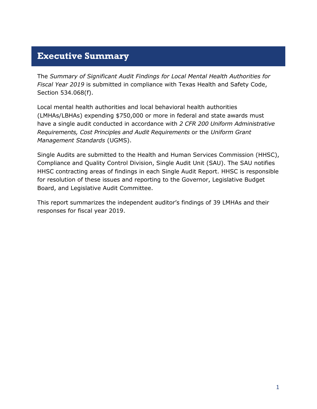### <span id="page-3-0"></span>**Executive Summary**

The *Summary of Significant Audit Findings for Local Mental Health Authorities for Fiscal Year 2019* is submitted in compliance with Texas Health and Safety Code, Section 534.068(f).

Local mental health authorities and local behavioral health authorities (LMHAs/LBHAs) expending \$750,000 or more in federal and state awards must have a single audit conducted in accordance with *2 CFR 200 Uniform Administrative Requirements, Cost Principles and Audit Requirements* or the *Uniform Grant Management Standards* (UGMS).

Single Audits are submitted to the Health and Human Services Commission (HHSC), Compliance and Quality Control Division, Single Audit Unit (SAU). The SAU notifies HHSC contracting areas of findings in each Single Audit Report. HHSC is responsible for resolution of these issues and reporting to the Governor, Legislative Budget Board, and Legislative Audit Committee.

This report summarizes the independent auditor's findings of 39 LMHAs and their responses for fiscal year 2019.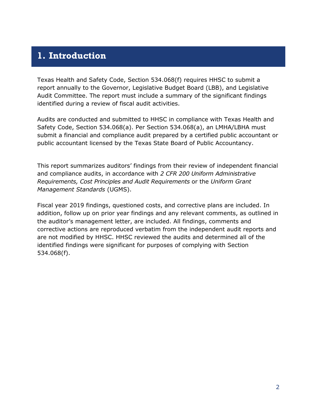### <span id="page-4-0"></span>**1. Introduction**

Texas Health and Safety Code, Section 534.068(f) requires HHSC to submit a report annually to the Governor, Legislative Budget Board (LBB), and Legislative Audit Committee. The report must include a summary of the significant findings identified during a review of fiscal audit activities.

Audits are conducted and submitted to HHSC in compliance with Texas Health and Safety Code, Section 534.068(a). Per Section 534.068(a), an LMHA/LBHA must submit a financial and compliance audit prepared by a certified public accountant or public accountant licensed by the Texas State Board of Public Accountancy.

This report summarizes auditors' findings from their review of independent financial and compliance audits, in accordance with *2 CFR 200 Uniform Administrative Requirements, Cost Principles and Audit Requirements* or the *Uniform Grant Management Standards* (UGMS).

Fiscal year 2019 findings, questioned costs, and corrective plans are included. In addition, follow up on prior year findings and any relevant comments, as outlined in the auditor's management letter, are included. All findings, comments and corrective actions are reproduced verbatim from the independent audit reports and are not modified by HHSC. HHSC reviewed the audits and determined all of the identified findings were significant for purposes of complying with Section 534.068(f).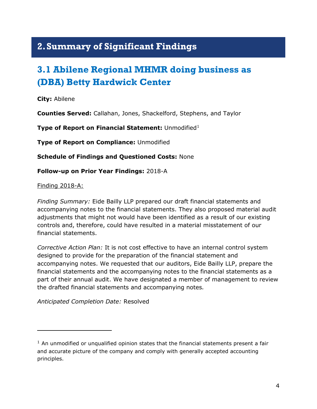## <span id="page-5-0"></span>**2.Summary of Significant Findings**

# <span id="page-5-1"></span>**3.1 Abilene Regional MHMR doing business as (DBA) Betty Hardwick Center**

**City:** Abilene

**Counties Served:** Callahan, Jones, Shackelford, Stephens, and Taylor

**Type of Report on Financial Statement: Unmodified[1](#page-5-2)** 

**Type of Report on Compliance:** Unmodified

**Schedule of Findings and Questioned Costs:** None

**Follow-up on Prior Year Findings:** 2018-A

Finding 2018-A:

l

*Finding Summary:* Eide Bailly LLP prepared our draft financial statements and accompanying notes to the financial statements. They also proposed material audit adjustments that might not would have been identified as a result of our existing controls and, therefore, could have resulted in a material misstatement of our financial statements.

*Corrective Action Plan:* It is not cost effective to have an internal control system designed to provide for the preparation of the financial statement and accompanying notes. We requested that our auditors, Eide Bailly LLP, prepare the financial statements and the accompanying notes to the financial statements as a part of their annual audit. We have designated a member of management to review the drafted financial statements and accompanying notes*.*

*Anticipated Completion Date:* Resolved

<span id="page-5-2"></span> $1$  An unmodified or unqualified opinion states that the financial statements present a fair and accurate picture of the company and comply with generally accepted accounting principles.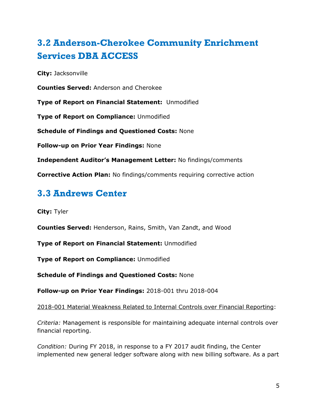# <span id="page-6-0"></span>**3.2 Anderson-Cherokee Community Enrichment Services DBA ACCESS**

**City:** Jacksonville

**Counties Served:** Anderson and Cherokee

**Type of Report on Financial Statement:** Unmodified

**Type of Report on Compliance:** Unmodified

**Schedule of Findings and Questioned Costs:** None

**Follow-up on Prior Year Findings:** None

**Independent Auditor's Management Letter:** No findings/comments

**Corrective Action Plan:** No findings/comments requiring corrective action

## <span id="page-6-1"></span>**3.3 Andrews Center**

**City:** Tyler

**Counties Served:** Henderson, Rains, Smith, Van Zandt, and Wood

**Type of Report on Financial Statement:** Unmodified

**Type of Report on Compliance:** Unmodified

**Schedule of Findings and Questioned Costs:** None

**Follow-up on Prior Year Findings:** 2018-001 thru 2018-004

2018-001 Material Weakness Related to Internal Controls over Financial Reporting:

*Criteria:* Management is responsible for maintaining adequate internal controls over financial reporting.

*Condition:* During FY 2018, in response to a FY 2017 audit finding, the Center implemented new general ledger software along with new billing software. As a part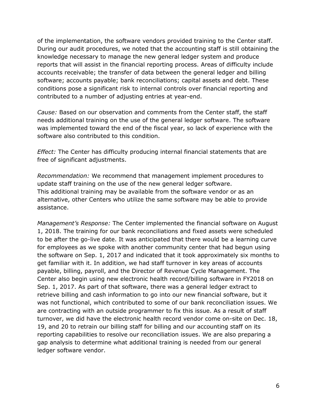of the implementation, the software vendors provided training to the Center staff. During our audit procedures, we noted that the accounting staff is still obtaining the knowledge necessary to manage the new general ledger system and produce reports that will assist in the financial reporting process. Areas of difficulty include accounts receivable; the transfer of data between the general ledger and billing software; accounts payable; bank reconciliations; capital assets and debt. These conditions pose a significant risk to internal controls over financial reporting and contributed to a number of adjusting entries at year-end.

*Cause:* Based on our observation and comments from the Center staff, the staff needs additional training on the use of the general ledger software. The software was implemented toward the end of the fiscal year, so lack of experience with the software also contributed to this condition.

*Effect:* The Center has difficulty producing internal financial statements that are free of significant adjustments.

*Recommendation:* We recommend that management implement procedures to update staff training on the use of the new general ledger software. This additional training may be available from the software vendor or as an alternative, other Centers who utilize the same software may be able to provide assistance.

*Management's Response:* The Center implemented the financial software on August 1, 2018. The training for our bank reconciliations and fixed assets were scheduled to be after the go-live date. It was anticipated that there would be a learning curve for employees as we spoke with another community center that had begun using the software on Sep. 1, 2017 and indicated that it took approximately six months to get familiar with it. In addition, we had staff turnover in key areas of accounts payable, billing, payroll, and the Director of Revenue Cycle Management. The Center also begin using new electronic health record/billing software in FY2018 on Sep. 1, 2017. As part of that software, there was a general ledger extract to retrieve billing and cash information to go into our new financial software, but it was not functional, which contributed to some of our bank reconciliation issues. We are contracting with an outside programmer to fix this issue. As a result of staff turnover, we did have the electronic health record vendor come on-site on Dec. 18, 19, and 20 to retrain our billing staff for billing and our accounting staff on its reporting capabilities to resolve our reconciliation issues. We are also preparing a gap analysis to determine what additional training is needed from our general ledger software vendor.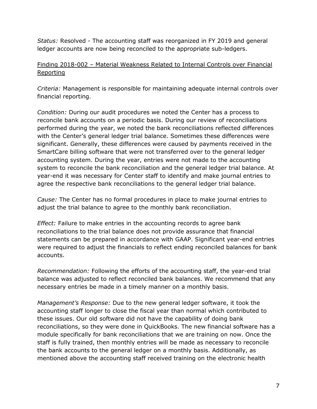*Status:* Resolved - The accounting staff was reorganized in FY 2019 and general ledger accounts are now being reconciled to the appropriate sub-ledgers.

### Finding 2018-002 – Material Weakness Related to Internal Controls over Financial Reporting

*Criteria:* Management is responsible for maintaining adequate internal controls over financial reporting.

*Condition:* During our audit procedures we noted the Center has a process to reconcile bank accounts on a periodic basis. During our review of reconciliations performed during the year, we noted the bank reconciliations reflected differences with the Center's general ledger trial balance. Sometimes these differences were significant. Generally, these differences were caused by payments received in the SmartCare billing software that were not transferred over to the general ledger accounting system. During the year, entries were not made to the accounting system to reconcile the bank reconciliation and the general ledger trial balance. At year-end it was necessary for Center staff to identify and make journal entries to agree the respective bank reconciliations to the general ledger trial balance.

*Cause:* The Center has no formal procedures in place to make journal entries to adjust the trial balance to agree to the monthly bank reconciliation.

*Effect:* Failure to make entries in the accounting records to agree bank reconciliations to the trial balance does not provide assurance that financial statements can be prepared in accordance with GAAP. Significant year-end entries were required to adjust the financials to reflect ending reconciled balances for bank accounts.

*Recommendation:* Following the efforts of the accounting staff, the year-end trial balance was adjusted to reflect reconciled bank balances. We recommend that any necessary entries be made in a timely manner on a monthly basis.

*Management's Response:* Due to the new general ledger software, it took the accounting staff longer to close the fiscal year than normal which contributed to these issues. Our old software did not have the capability of doing bank reconciliations, so they were done in QuickBooks. The new financial software has a module specifically for bank reconciliations that we are training on now. Once the staff is fully trained, then monthly entries will be made as necessary to reconcile the bank accounts to the general ledger on a monthly basis. Additionally, as mentioned above the accounting staff received training on the electronic health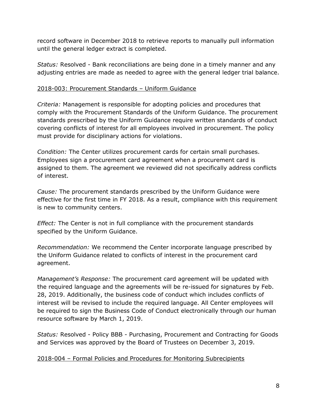record software in December 2018 to retrieve reports to manually pull information until the general ledger extract is completed.

*Status:* Resolved - Bank reconciliations are being done in a timely manner and any adjusting entries are made as needed to agree with the general ledger trial balance.

### 2018-003: Procurement Standards – Uniform Guidance

*Criteria:* Management is responsible for adopting policies and procedures that comply with the Procurement Standards of the Uniform Guidance. The procurement standards prescribed by the Uniform Guidance require written standards of conduct covering conflicts of interest for all employees involved in procurement. The policy must provide for disciplinary actions for violations.

*Condition:* The Center utilizes procurement cards for certain small purchases. Employees sign a procurement card agreement when a procurement card is assigned to them. The agreement we reviewed did not specifically address conflicts of interest.

*Cause:* The procurement standards prescribed by the Uniform Guidance were effective for the first time in FY 2018. As a result, compliance with this requirement is new to community centers.

*Effect:* The Center is not in full compliance with the procurement standards specified by the Uniform Guidance.

*Recommendation:* We recommend the Center incorporate language prescribed by the Uniform Guidance related to conflicts of interest in the procurement card agreement.

*Management's Response:* The procurement card agreement will be updated with the required language and the agreements will be re-issued for signatures by Feb. 28, 2019. Additionally, the business code of conduct which includes conflicts of interest will be revised to include the required language. All Center employees will be required to sign the Business Code of Conduct electronically through our human resource software by March 1, 2019.

*Status:* Resolved - Policy BBB - Purchasing, Procurement and Contracting for Goods and Services was approved by the Board of Trustees on December 3, 2019.

### 2018-004 – Formal Policies and Procedures for Monitoring Subrecipients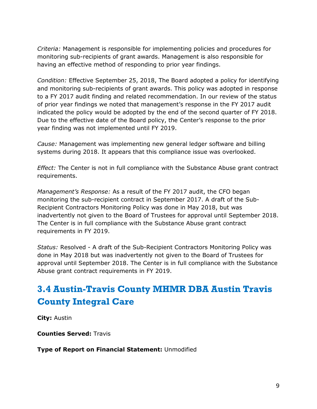*Criteria:* Management is responsible for implementing policies and procedures for monitoring sub-recipients of grant awards. Management is also responsible for having an effective method of responding to prior year findings.

*Condition:* Effective September 25, 2018, The Board adopted a policy for identifying and monitoring sub-recipients of grant awards. This policy was adopted in response to a FY 2017 audit finding and related recommendation. In our review of the status of prior year findings we noted that management's response in the FY 2017 audit indicated the policy would be adopted by the end of the second quarter of FY 2018. Due to the effective date of the Board policy, the Center's response to the prior year finding was not implemented until FY 2019.

*Cause:* Management was implementing new general ledger software and billing systems during 2018. It appears that this compliance issue was overlooked.

*Effect:* The Center is not in full compliance with the Substance Abuse grant contract requirements.

*Management's Response:* As a result of the FY 2017 audit, the CFO began monitoring the sub-recipient contract in September 2017. A draft of the Sub-Recipient Contractors Monitoring Policy was done in May 2018, but was inadvertently not given to the Board of Trustees for approval until September 2018. The Center is in full compliance with the Substance Abuse grant contract requirements in FY 2019.

*Status:* Resolved - A draft of the Sub-Recipient Contractors Monitoring Policy was done in May 2018 but was inadvertently not given to the Board of Trustees for approval until September 2018. The Center is in full compliance with the Substance Abuse grant contract requirements in FY 2019.

# <span id="page-10-0"></span>**3.4 Austin-Travis County MHMR DBA Austin Travis County Integral Care**

**City:** Austin

**Counties Served:** Travis

**Type of Report on Financial Statement:** Unmodified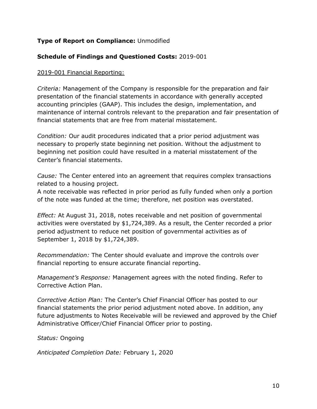### **Type of Report on Compliance:** Unmodified

### **Schedule of Findings and Questioned Costs:** 2019-001

#### 2019-001 Financial Reporting:

*Criteria:* Management of the Company is responsible for the preparation and fair presentation of the financial statements in accordance with generally accepted accounting principles (GAAP). This includes the design, implementation, and maintenance of internal controls relevant to the preparation and fair presentation of financial statements that are free from material misstatement.

*Condition:* Our audit procedures indicated that a prior period adjustment was necessary to properly state beginning net position. Without the adjustment to beginning net position could have resulted in a material misstatement of the Center's financial statements.

*Cause:* The Center entered into an agreement that requires complex transactions related to a housing project.

A note receivable was reflected in prior period as fully funded when only a portion of the note was funded at the time; therefore, net position was overstated.

*Effect:* At August 31, 2018, notes receivable and net position of governmental activities were overstated by \$1,724,389. As a result, the Center recorded a prior period adjustment to reduce net position of governmental activities as of September 1, 2018 by \$1,724,389.

*Recommendation:* The Center should evaluate and improve the controls over financial reporting to ensure accurate financial reporting.

*Management's Response:* Management agrees with the noted finding. Refer to Corrective Action Plan.

*Corrective Action Plan:* The Center's Chief Financial Officer has posted to our financial statements the prior period adjustment noted above. In addition, any future adjustments to Notes Receivable will be reviewed and approved by the Chief Administrative Officer/Chief Financial Officer prior to posting.

*Status:* Ongoing

*Anticipated Completion Date:* February 1, 2020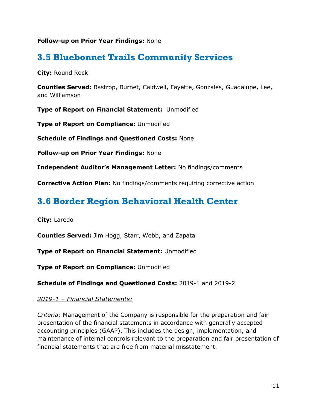### **Follow-up on Prior Year Findings:** None

### <span id="page-12-0"></span>**3.5 Bluebonnet Trails Community Services**

**City:** Round Rock

**Counties Served:** Bastrop, Burnet, Caldwell, Fayette, Gonzales, Guadalupe, Lee, and Williamson

**Type of Report on Financial Statement:** Unmodified

**Type of Report on Compliance:** Unmodified

**Schedule of Findings and Questioned Costs:** None

**Follow-up on Prior Year Findings:** None

**Independent Auditor's Management Letter:** No findings/comments

**Corrective Action Plan:** No findings/comments requiring corrective action

## <span id="page-12-1"></span>**3.6 Border Region Behavioral Health Center**

**City:** Laredo

**Counties Served:** Jim Hogg, Starr, Webb, and Zapata

**Type of Report on Financial Statement:** Unmodified

**Type of Report on Compliance:** Unmodified

**Schedule of Findings and Questioned Costs:** 2019-1 and 2019-2

### *2019-1 – Financial Statements:*

*Criteria:* Management of the Company is responsible for the preparation and fair presentation of the financial statements in accordance with generally accepted accounting principles (GAAP). This includes the design, implementation, and maintenance of internal controls relevant to the preparation and fair presentation of financial statements that are free from material misstatement.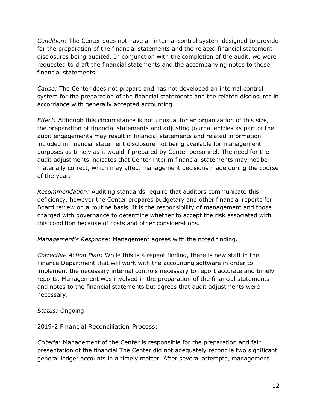*Condition:* The Center does not have an internal control system designed to provide for the preparation of the financial statements and the related financial statement disclosures being audited. In conjunction with the completion of the audit, we were requested to draft the financial statements and the accompanying notes to those financial statements.

*Cause:* The Center does not prepare and has not developed an internal control system for the preparation of the financial statements and the related disclosures in accordance with generally accepted accounting.

*Effect:* Although this circumstance is not unusual for an organization of this size, the preparation of financial statements and adjusting journal entries as part of the audit engagements may result in financial statements and related information included in financial statement disclosure not being available for management purposes as timely as it would if prepared by Center personnel. The need for the audit adjustments indicates that Center interim financial statements may not be materially correct, which may affect management decisions made during the course of the year.

*Recommendation:* Auditing standards require that auditors communicate this deficiency, however the Center prepares budgetary and other financial reports for Board review on a routine basis. It is the responsibility of management and those charged with governance to determine whether to accept the risk associated with this condition because of costs and other considerations.

*Management's Response:* Management agrees with the noted finding.

*Corrective Action Plan:* While this is a repeat finding, there is new staff in the Finance Department that will work with the accounting software in order to implement the necessary internal controls necessary to report accurate and timely reports. Management was involved in the preparation of the financial statements and notes to the financial statements but agrees that audit adjustments were necessary.

### *Status:* Ongoing

### 2019-2 Financial Reconciliation Process:

*Criteria*: Management of the Center is responsible for the preparation and fair presentation of the financial The Center did not adequately reconcile two significant general ledger accounts in a timely matter. After several attempts, management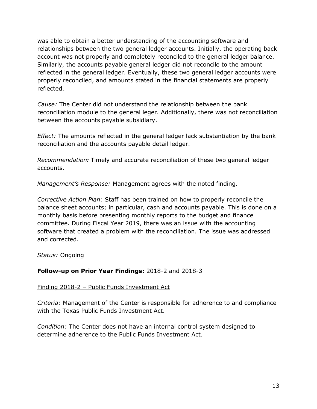was able to obtain a better understanding of the accounting software and relationships between the two general ledger accounts. Initially, the operating back account was not properly and completely reconciled to the general ledger balance. Similarly, the accounts payable general ledger did not reconcile to the amount reflected in the general ledger. Eventually, these two general ledger accounts were properly reconciled, and amounts stated in the financial statements are properly reflected.

*Cause:* The Center did not understand the relationship between the bank reconciliation module to the general leger. Additionally, there was not reconciliation between the accounts payable subsidiary.

*Effect:* The amounts reflected in the general ledger lack substantiation by the bank reconciliation and the accounts payable detail ledger.

*Recommendation:* Timely and accurate reconciliation of these two general ledger accounts.

*Management's Response:* Management agrees with the noted finding.

*Corrective Action Plan:* Staff has been trained on how to properly reconcile the balance sheet accounts; in particular, cash and accounts payable. This is done on a monthly basis before presenting monthly reports to the budget and finance committee. During Fiscal Year 2019, there was an issue with the accounting software that created a problem with the reconciliation. The issue was addressed and corrected.

*Status:* Ongoing

### **Follow-up on Prior Year Findings:** 2018-2 and 2018-3

### Finding 2018-2 – Public Funds Investment Act

*Criteria:* Management of the Center is responsible for adherence to and compliance with the Texas Public Funds Investment Act.

*Condition:* The Center does not have an internal control system designed to determine adherence to the Public Funds Investment Act.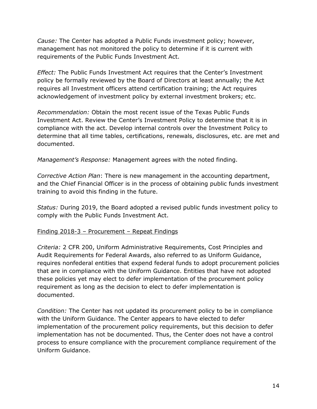*Cause:* The Center has adopted a Public Funds investment policy; however, management has not monitored the policy to determine if it is current with requirements of the Public Funds Investment Act.

*Effect:* The Public Funds Investment Act requires that the Center's Investment policy be formally reviewed by the Board of Directors at least annually; the Act requires all Investment officers attend certification training; the Act requires acknowledgement of investment policy by external investment brokers; etc.

*Recommendation:* Obtain the most recent issue of the Texas Public Funds Investment Act. Review the Center's Investment Policy to determine that it is in compliance with the act. Develop internal controls over the Investment Policy to determine that all time tables, certifications, renewals, disclosures, etc. are met and documented.

*Management's Response:* Management agrees with the noted finding.

*Corrective Action Plan*: There is new management in the accounting department, and the Chief Financial Officer is in the process of obtaining public funds investment training to avoid this finding in the future.

*Status:* During 2019, the Board adopted a revised public funds investment policy to comply with the Public Funds Investment Act.

### Finding 2018-3 – Procurement – Repeat Findings

*Criteria:* 2 CFR 200, Uniform Administrative Requirements, Cost Principles and Audit Requirements for Federal Awards, also referred to as Uniform Guidance, requires nonfederal entities that expend federal funds to adopt procurement policies that are in compliance with the Uniform Guidance. Entities that have not adopted these policies yet may elect to defer implementation of the procurement policy requirement as long as the decision to elect to defer implementation is documented.

*Condition:* The Center has not updated its procurement policy to be in compliance with the Uniform Guidance. The Center appears to have elected to defer implementation of the procurement policy requirements, but this decision to defer implementation has not be documented. Thus, the Center does not have a control process to ensure compliance with the procurement compliance requirement of the Uniform Guidance.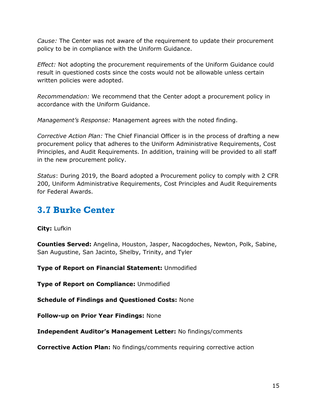*Cause:* The Center was not aware of the requirement to update their procurement policy to be in compliance with the Uniform Guidance.

*Effect:* Not adopting the procurement requirements of the Uniform Guidance could result in questioned costs since the costs would not be allowable unless certain written policies were adopted.

*Recommendation:* We recommend that the Center adopt a procurement policy in accordance with the Uniform Guidance.

*Management's Response:* Management agrees with the noted finding.

*Corrective Action Plan:* The Chief Financial Officer is in the process of drafting a new procurement policy that adheres to the Uniform Administrative Requirements, Cost Principles, and Audit Requirements. In addition, training will be provided to all staff in the new procurement policy.

*Status*: During 2019, the Board adopted a Procurement policy to comply with 2 CFR 200, Uniform Administrative Requirements, Cost Principles and Audit Requirements for Federal Awards.

## <span id="page-16-0"></span>**3.7 Burke Center**

**City:** Lufkin

**Counties Served:** Angelina, Houston, Jasper, Nacogdoches, Newton, Polk, Sabine, San Augustine, San Jacinto, Shelby, Trinity, and Tyler

**Type of Report on Financial Statement:** Unmodified

**Type of Report on Compliance:** Unmodified

**Schedule of Findings and Questioned Costs:** None

**Follow-up on Prior Year Findings:** None

**Independent Auditor's Management Letter:** No findings/comments

**Corrective Action Plan:** No findings/comments requiring corrective action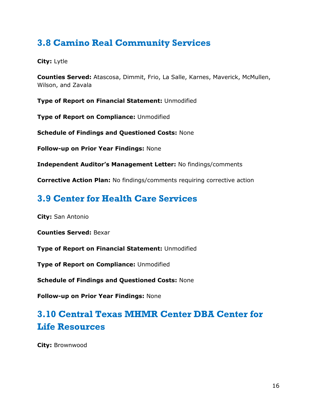## <span id="page-17-0"></span>**3.8 Camino Real Community Services**

### **City:** Lytle

**Counties Served:** Atascosa, Dimmit, Frio, La Salle, Karnes, Maverick, McMullen, Wilson, and Zavala

**Type of Report on Financial Statement:** Unmodified

**Type of Report on Compliance:** Unmodified

**Schedule of Findings and Questioned Costs:** None

**Follow-up on Prior Year Findings:** None

**Independent Auditor's Management Letter:** No findings/comments

**Corrective Action Plan:** No findings/comments requiring corrective action

## <span id="page-17-1"></span>**3.9 Center for Health Care Services**

**City:** San Antonio

**Counties Served:** Bexar

**Type of Report on Financial Statement:** Unmodified

**Type of Report on Compliance:** Unmodified

**Schedule of Findings and Questioned Costs:** None

**Follow-up on Prior Year Findings:** None

## <span id="page-17-2"></span>**3.10 Central Texas MHMR Center DBA Center for Life Resources**

**City:** Brownwood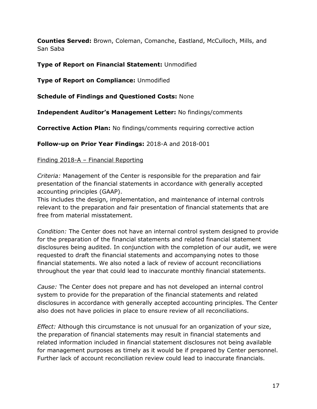**Counties Served:** Brown, Coleman, Comanche, Eastland, McCulloch, Mills, and San Saba

### **Type of Report on Financial Statement:** Unmodified

**Type of Report on Compliance:** Unmodified

**Schedule of Findings and Questioned Costs:** None

**Independent Auditor's Management Letter:** No findings/comments

**Corrective Action Plan:** No findings/comments requiring corrective action

**Follow-up on Prior Year Findings:** 2018-A and 2018-001

### Finding 2018-A – Financial Reporting

*Criteria:* Management of the Center is responsible for the preparation and fair presentation of the financial statements in accordance with generally accepted accounting principles (GAAP).

This includes the design, implementation, and maintenance of internal controls relevant to the preparation and fair presentation of financial statements that are free from material misstatement.

*Condition:* The Center does not have an internal control system designed to provide for the preparation of the financial statements and related financial statement disclosures being audited. In conjunction with the completion of our audit, we were requested to draft the financial statements and accompanying notes to those financial statements. We also noted a lack of review of account reconciliations throughout the year that could lead to inaccurate monthly financial statements.

*Cause:* The Center does not prepare and has not developed an internal control system to provide for the preparation of the financial statements and related disclosures in accordance with generally accepted accounting principles. The Center also does not have policies in place to ensure review of all reconciliations.

*Effect:* Although this circumstance is not unusual for an organization of your size, the preparation of financial statements may result in financial statements and related information included in financial statement disclosures not being available for management purposes as timely as it would be if prepared by Center personnel. Further lack of account reconciliation review could lead to inaccurate financials.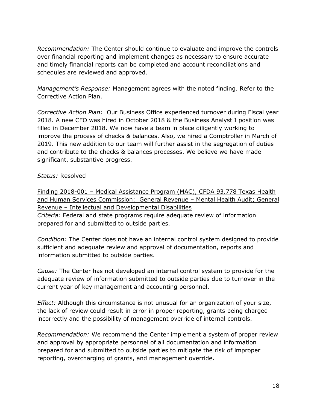*Recommendation:* The Center should continue to evaluate and improve the controls over financial reporting and implement changes as necessary to ensure accurate and timely financial reports can be completed and account reconciliations and schedules are reviewed and approved.

*Management's Response:* Management agrees with the noted finding. Refer to the Corrective Action Plan.

*Corrective Action Plan:* Our Business Office experienced turnover during Fiscal year 2018. A new CFO was hired in October 2018 & the Business Analyst I position was filled in December 2018. We now have a team in place diligently working to improve the process of checks & balances. Also, we hired a Comptroller in March of 2019. This new addition to our team will further assist in the segregation of duties and contribute to the checks & balances processes. We believe we have made significant, substantive progress.

*Status:* Resolved

Finding 2018-001 – Medical Assistance Program (MAC), CFDA 93.778 Texas Health and Human Services Commission: General Revenue – Mental Health Audit; General Revenue – Intellectual and Developmental Disabilities *Criteria:* Federal and state programs require adequate review of information prepared for and submitted to outside parties.

*Condition:* The Center does not have an internal control system designed to provide sufficient and adequate review and approval of documentation, reports and information submitted to outside parties.

*Cause:* The Center has not developed an internal control system to provide for the adequate review of information submitted to outside parties due to turnover in the current year of key management and accounting personnel.

*Effect:* Although this circumstance is not unusual for an organization of your size, the lack of review could result in error in proper reporting, grants being charged incorrectly and the possibility of management override of internal controls.

*Recommendation:* We recommend the Center implement a system of proper review and approval by appropriate personnel of all documentation and information prepared for and submitted to outside parties to mitigate the risk of improper reporting, overcharging of grants, and management override.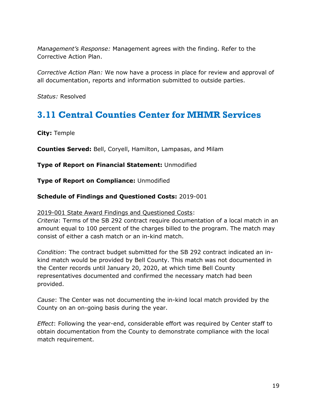*Management's Response:* Management agrees with the finding. Refer to the Corrective Action Plan.

*Corrective Action Plan:* We now have a process in place for review and approval of all documentation, reports and information submitted to outside parties.

*Status:* Resolved

## <span id="page-20-0"></span>**3.11 Central Counties Center for MHMR Services**

**City:** Temple

**Counties Served:** Bell, Coryell, Hamilton, Lampasas, and Milam

**Type of Report on Financial Statement:** Unmodified

**Type of Report on Compliance:** Unmodified

#### **Schedule of Findings and Questioned Costs:** 2019-001

#### 2019-001 State Award Findings and Questioned Costs:

*Criteria*: Terms of the SB 292 contract require documentation of a local match in an amount equal to 100 percent of the charges billed to the program. The match may consist of either a cash match or an in-kind match.

*Condition*: The contract budget submitted for the SB 292 contract indicated an inkind match would be provided by Bell County. This match was not documented in the Center records until January 20, 2020, at which time Bell County representatives documented and confirmed the necessary match had been provided.

*Cause*: The Center was not documenting the in-kind local match provided by the County on an on-going basis during the year.

*Effect*: Following the year-end, considerable effort was required by Center staff to obtain documentation from the County to demonstrate compliance with the local match requirement.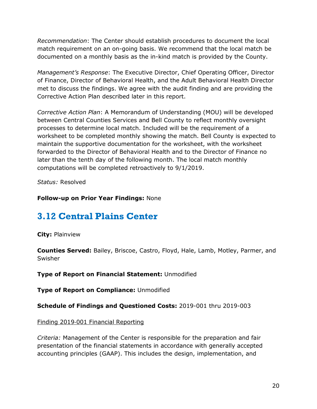*Recommendation*: The Center should establish procedures to document the local match requirement on an on-going basis. We recommend that the local match be documented on a monthly basis as the in-kind match is provided by the County.

*Management's Response*: The Executive Director, Chief Operating Officer, Director of Finance, Director of Behavioral Health, and the Adult Behavioral Health Director met to discuss the findings. We agree with the audit finding and are providing the Corrective Action Plan described later in this report.

*Corrective Action Plan*: A Memorandum of Understanding (MOU) will be developed between Central Counties Services and Bell County to reflect monthly oversight processes to determine local match. Included will be the requirement of a worksheet to be completed monthly showing the match. Bell County is expected to maintain the supportive documentation for the worksheet, with the worksheet forwarded to the Director of Behavioral Health and to the Director of Finance no later than the tenth day of the following month. The local match monthly computations will be completed retroactively to 9/1/2019.

*Status:* Resolved

### **Follow-up on Prior Year Findings:** None

## <span id="page-21-0"></span>**3.12 Central Plains Center**

**City:** Plainview

**Counties Served:** Bailey, Briscoe, Castro, Floyd, Hale, Lamb, Motley, Parmer, and Swisher

**Type of Report on Financial Statement:** Unmodified

**Type of Report on Compliance:** Unmodified

**Schedule of Findings and Questioned Costs:** 2019-001 thru 2019-003

### Finding 2019‐001 Financial Reporting

*Criteria:* Management of the Center is responsible for the preparation and fair presentation of the financial statements in accordance with generally accepted accounting principles (GAAP). This includes the design, implementation, and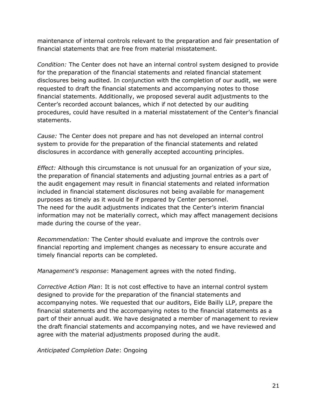maintenance of internal controls relevant to the preparation and fair presentation of financial statements that are free from material misstatement.

*Condition:* The Center does not have an internal control system designed to provide for the preparation of the financial statements and related financial statement disclosures being audited. In conjunction with the completion of our audit, we were requested to draft the financial statements and accompanying notes to those financial statements. Additionally, we proposed several audit adjustments to the Center's recorded account balances, which if not detected by our auditing procedures, could have resulted in a material misstatement of the Center's financial statements.

*Cause:* The Center does not prepare and has not developed an internal control system to provide for the preparation of the financial statements and related disclosures in accordance with generally accepted accounting principles.

*Effect:* Although this circumstance is not unusual for an organization of your size, the preparation of financial statements and adjusting journal entries as a part of the audit engagement may result in financial statements and related information included in financial statement disclosures not being available for management purposes as timely as it would be if prepared by Center personnel. The need for the audit adjustments indicates that the Center's interim financial information may not be materially correct, which may affect management decisions made during the course of the year.

*Recommendation:* The Center should evaluate and improve the controls over financial reporting and implement changes as necessary to ensure accurate and timely financial reports can be completed.

*Management's response*: Management agrees with the noted finding.

*Corrective Action Plan*: It is not cost effective to have an internal control system designed to provide for the preparation of the financial statements and accompanying notes. We requested that our auditors, Eide Bailly LLP, prepare the financial statements and the accompanying notes to the financial statements as a part of their annual audit. We have designated a member of management to review the draft financial statements and accompanying notes, and we have reviewed and agree with the material adjustments proposed during the audit.

*Anticipated Completion Date*: Ongoing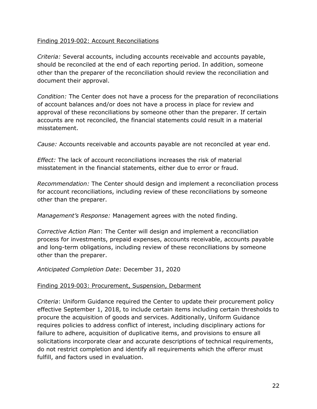### Finding 2019‐002: Account Reconciliations

*Criteria:* Several accounts, including accounts receivable and accounts payable, should be reconciled at the end of each reporting period. In addition, someone other than the preparer of the reconciliation should review the reconciliation and document their approval.

*Condition:* The Center does not have a process for the preparation of reconciliations of account balances and/or does not have a process in place for review and approval of these reconciliations by someone other than the preparer. If certain accounts are not reconciled, the financial statements could result in a material misstatement.

*Cause:* Accounts receivable and accounts payable are not reconciled at year end.

*Effect:* The lack of account reconciliations increases the risk of material misstatement in the financial statements, either due to error or fraud.

*Recommendation:* The Center should design and implement a reconciliation process for account reconciliations, including review of these reconciliations by someone other than the preparer.

*Management's Response:* Management agrees with the noted finding.

*Corrective Action Plan*: The Center will design and implement a reconciliation process for investments, prepaid expenses, accounts receivable, accounts payable and long-term obligations, including review of these reconciliations by someone other than the preparer.

*Anticipated Completion Date*: December 31, 2020

### Finding 2019‐003: Procurement, Suspension, Debarment

*Criteria*: Uniform Guidance required the Center to update their procurement policy effective September 1, 2018, to include certain items including certain thresholds to procure the acquisition of goods and services. Additionally, Uniform Guidance requires policies to address conflict of interest, including disciplinary actions for failure to adhere, acquisition of duplicative items, and provisions to ensure all solicitations incorporate clear and accurate descriptions of technical requirements, do not restrict completion and identify all requirements which the offeror must fulfill, and factors used in evaluation.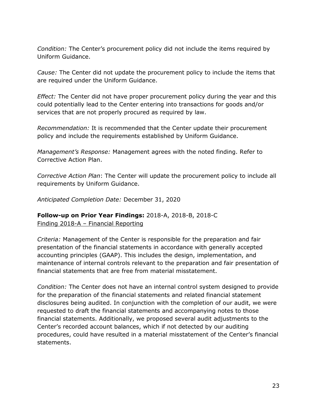*Condition:* The Center's procurement policy did not include the items required by Uniform Guidance.

*Cause:* The Center did not update the procurement policy to include the items that are required under the Uniform Guidance.

*Effect:* The Center did not have proper procurement policy during the year and this could potentially lead to the Center entering into transactions for goods and/or services that are not properly procured as required by law.

*Recommendation:* It is recommended that the Center update their procurement policy and include the requirements established by Uniform Guidance.

*Management's Response:* Management agrees with the noted finding. Refer to Corrective Action Plan.

*Corrective Action Plan*: The Center will update the procurement policy to include all requirements by Uniform Guidance.

*Anticipated Completion Date:* December 31, 2020

### **Follow-up on Prior Year Findings:** 2018-A, 2018-B, 2018-C Finding 2018-A – Financial Reporting

*Criteria:* Management of the Center is responsible for the preparation and fair presentation of the financial statements in accordance with generally accepted accounting principles (GAAP). This includes the design, implementation, and maintenance of internal controls relevant to the preparation and fair presentation of financial statements that are free from material misstatement.

*Condition:* The Center does not have an internal control system designed to provide for the preparation of the financial statements and related financial statement disclosures being audited. In conjunction with the completion of our audit, we were requested to draft the financial statements and accompanying notes to those financial statements. Additionally, we proposed several audit adjustments to the Center's recorded account balances, which if not detected by our auditing procedures, could have resulted in a material misstatement of the Center's financial statements.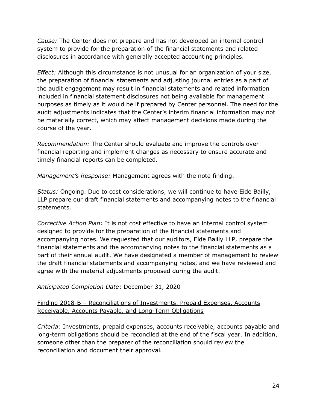*Cause:* The Center does not prepare and has not developed an internal control system to provide for the preparation of the financial statements and related disclosures in accordance with generally accepted accounting principles.

*Effect:* Although this circumstance is not unusual for an organization of your size, the preparation of financial statements and adjusting journal entries as a part of the audit engagement may result in financial statements and related information included in financial statement disclosures not being available for management purposes as timely as it would be if prepared by Center personnel. The need for the audit adjustments indicates that the Center's interim financial information may not be materially correct, which may affect management decisions made during the course of the year.

*Recommendation:* The Center should evaluate and improve the controls over financial reporting and implement changes as necessary to ensure accurate and timely financial reports can be completed.

*Management's Response:* Management agrees with the note finding.

*Status:* Ongoing. Due to cost considerations, we will continue to have Eide Bailly, LLP prepare our draft financial statements and accompanying notes to the financial statements.

*Corrective Action Plan:* It is not cost effective to have an internal control system designed to provide for the preparation of the financial statements and accompanying notes. We requested that our auditors, Eide Bailly LLP, prepare the financial statements and the accompanying notes to the financial statements as a part of their annual audit. We have designated a member of management to review the draft financial statements and accompanying notes, and we have reviewed and agree with the material adjustments proposed during the audit.

*Anticipated Completion Date*: December 31, 2020

### Finding 2018-B – Reconciliations of Investments, Prepaid Expenses, Accounts Receivable, Accounts Payable, and Long-Term Obligations

*Criteria:* Investments, prepaid expenses, accounts receivable, accounts payable and long-term obligations should be reconciled at the end of the fiscal year. In addition, someone other than the preparer of the reconciliation should review the reconciliation and document their approval.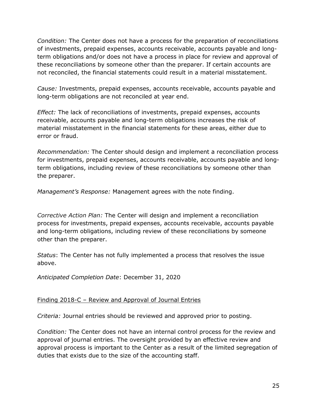*Condition:* The Center does not have a process for the preparation of reconciliations of investments, prepaid expenses, accounts receivable, accounts payable and longterm obligations and/or does not have a process in place for review and approval of these reconciliations by someone other than the preparer. If certain accounts are not reconciled, the financial statements could result in a material misstatement.

*Cause:* Investments, prepaid expenses, accounts receivable, accounts payable and long-term obligations are not reconciled at year end.

*Effect:* The lack of reconciliations of investments, prepaid expenses, accounts receivable, accounts payable and long-term obligations increases the risk of material misstatement in the financial statements for these areas, either due to error or fraud.

*Recommendation:* The Center should design and implement a reconciliation process for investments, prepaid expenses, accounts receivable, accounts payable and longterm obligations, including review of these reconciliations by someone other than the preparer.

*Management's Response:* Management agrees with the note finding.

*Corrective Action Plan:* The Center will design and implement a reconciliation process for investments, prepaid expenses, accounts receivable, accounts payable and long-term obligations, including review of these reconciliations by someone other than the preparer.

*Status*: The Center has not fully implemented a process that resolves the issue above.

*Anticipated Completion Date*: December 31, 2020

### Finding 2018-C – Review and Approval of Journal Entries

*Criteria:* Journal entries should be reviewed and approved prior to posting.

*Condition:* The Center does not have an internal control process for the review and approval of journal entries. The oversight provided by an effective review and approval process is important to the Center as a result of the limited segregation of duties that exists due to the size of the accounting staff.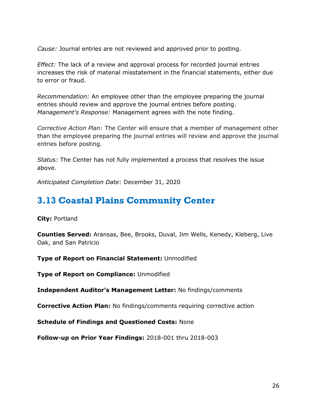*Cause:* Journal entries are not reviewed and approved prior to posting.

*Effect:* The lack of a review and approval process for recorded journal entries increases the risk of material misstatement in the financial statements, either due to error or fraud.

*Recommendation:* An employee other than the employee preparing the journal entries should review and approve the journal entries before posting. *Management's Response:* Management agrees with the note finding.

*Corrective Action Plan:* The Center will ensure that a member of management other than the employee preparing the journal entries will review and approve the journal entries before posting.

*Statu*s: The Center has not fully implemented a process that resolves the issue above.

*Anticipated Completion Date*: December 31, 2020

## <span id="page-27-0"></span>**3.13 Coastal Plains Community Center**

**City:** Portland

**Counties Served:** Aransas, Bee, Brooks, Duval, Jim Wells, Kenedy, Kleberg, Live Oak, and San Patricio

**Type of Report on Financial Statement:** Unmodified

**Type of Report on Compliance:** Unmodified

**Independent Auditor's Management Letter:** No findings/comments

**Corrective Action Plan:** No findings/comments requiring corrective action

**Schedule of Findings and Questioned Costs:** None

**Follow-up on Prior Year Findings:** 2018-001 thru 2018-003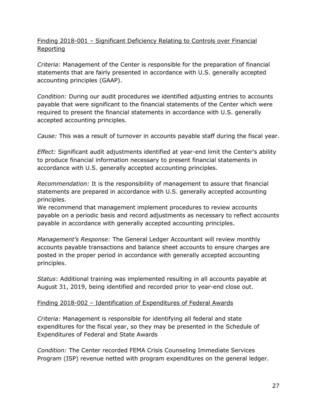### Finding 2018-001 – Significant Deficiency Relating to Controls over Financial Reporting

*Criteria:* Management of the Center is responsible for the preparation of financial statements that are fairly presented in accordance with U.S. generally accepted accounting principles (GAAP).

*Condition:* During our audit procedures we identified adjusting entries to accounts payable that were significant to the financial statements of the Center which were required to present the financial statements in accordance with U.S. generally accepted accounting principles.

*Cause:* This was a result of turnover in accounts payable staff during the fiscal year.

*Effect:* Significant audit adjustments identified at year-end limit the Center's ability to produce financial information necessary to present financial statements in accordance with U.S. generally accepted accounting principles.

*Recommendation:* It is the responsibility of management to assure that financial statements are prepared in accordance with U.S. generally accepted accounting principles.

We recommend that management implement procedures to review accounts payable on a periodic basis and record adjustments as necessary to reflect accounts payable in accordance with generally accepted accounting principles.

*Management's Response:* The General Ledger Accountant will review monthly accounts payable transactions and balance sheet accounts to ensure charges are posted in the proper period in accordance with generally accepted accounting principles.

*Status*: Additional training was implemented resulting in all accounts payable at August 31, 2019, being identified and recorded prior to year-end close out.

### Finding 2018-002 – Identification of Expenditures of Federal Awards

*Criteria:* Management is responsible for identifying all federal and state expenditures for the fiscal year, so they may be presented in the Schedule of Expenditures of Federal and State Awards

*Condition:* The Center recorded FEMA Crisis Counseling Immediate Services Program (ISP) revenue netted with program expenditures on the general ledger.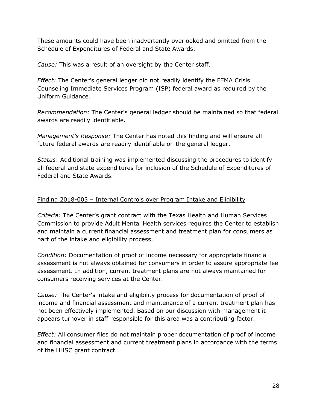These amounts could have been inadvertently overlooked and omitted from the Schedule of Expenditures of Federal and State Awards.

*Cause:* This was a result of an oversight by the Center staff.

*Effect:* The Center's general ledger did not readily identify the FEMA Crisis Counseling Immediate Services Program (ISP) federal award as required by the Uniform Guidance.

*Recommendation:* The Center's general ledger should be maintained so that federal awards are readily identifiable.

*Management's Response:* The Center has noted this finding and will ensure all future federal awards are readily identifiable on the general ledger.

*Status*: Additional training was implemented discussing the procedures to identify all federal and state expenditures for inclusion of the Schedule of Expenditures of Federal and State Awards.

### Finding 2018-003 – Internal Controls over Program Intake and Eligibility

*Criteria:* The Center's grant contract with the Texas Health and Human Services Commission to provide Adult Mental Health services requires the Center to establish and maintain a current financial assessment and treatment plan for consumers as part of the intake and eligibility process.

*Condition:* Documentation of proof of income necessary for appropriate financial assessment is not always obtained for consumers in order to assure appropriate fee assessment. In addition, current treatment plans are not always maintained for consumers receiving services at the Center.

*Cause:* The Center's intake and eligibility process for documentation of proof of income and financial assessment and maintenance of a current treatment plan has not been effectively implemented. Based on our discussion with management it appears turnover in staff responsible for this area was a contributing factor.

*Effect:* All consumer files do not maintain proper documentation of proof of income and financial assessment and current treatment plans in accordance with the terms of the HHSC grant contract.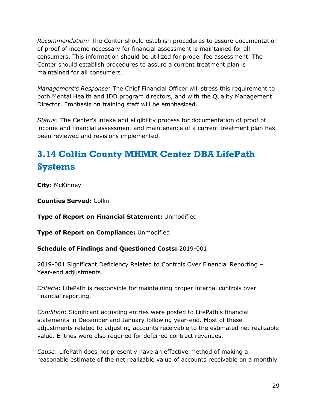*Recommendation:* The Center should establish procedures to assure documentation of proof of income necessary for financial assessment is maintained for all consumers. This information should be utilized for proper fee assessment. The Center should establish procedures to assure a current treatment plan is maintained for all consumers.

*Management's Response:* The Chief Financial Officer will stress this requirement to both Mental Health and IDD program directors, and with the Quality Management Director. Emphasis on training staff will be emphasized.

*Status*: The Center's intake and eligibility process for documentation of proof of income and financial assessment and maintenance of a current treatment plan has been reviewed and revisions implemented.

# <span id="page-30-0"></span>**3.14 Collin County MHMR Center DBA LifePath Systems**

**City:** McKinney

**Counties Served:** Collin

**Type of Report on Financial Statement:** Unmodified

**Type of Report on Compliance:** Unmodified

### **Schedule of Findings and Questioned Costs:** 2019-001

### 2019-001 Significant Deficiency Related to Controls Over Financial Reporting – Year-end adjustments

*Criteria*: LifePath is responsible for maintaining proper internal controls over financial reporting.

*Condition*: Significant adjusting entries were posted to LifePath's financial statements in December and January following year-end. Most of these adjustments related to adjusting accounts receivable to the estimated net realizable value. Entries were also required for deferred contract revenues.

*Cause*: LifePath does not presently have an effective method of making a reasonable estimate of the net realizable value of accounts receivable on a monthly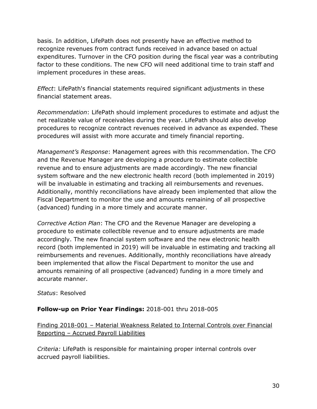basis. In addition, LifePath does not presently have an effective method to recognize revenues from contract funds received in advance based on actual expenditures. Turnover in the CFO position during the fiscal year was a contributing factor to these conditions. The new CFO will need additional time to train staff and implement procedures in these areas.

*Effect*: LifePath's financial statements required significant adjustments in these financial statement areas.

*Recommendation*: LifePath should implement procedures to estimate and adjust the net realizable value of receivables during the year. LifePath should also develop procedures to recognize contract revenues received in advance as expended. These procedures will assist with more accurate and timely financial reporting.

*Management's Response*: Management agrees with this recommendation. The CFO and the Revenue Manager are developing a procedure to estimate collectible revenue and to ensure adjustments are made accordingly. The new financial system software and the new electronic health record (both implemented in 2019) will be invaluable in estimating and tracking all reimbursements and revenues. Additionally, monthly reconciliations have already been implemented that allow the Fiscal Department to monitor the use and amounts remaining of all prospective (advanced) funding in a more timely and accurate manner.

*Corrective Action Plan*: The CFO and the Revenue Manager are developing a procedure to estimate collectible revenue and to ensure adjustments are made accordingly. The new financial system software and the new electronic health record (both implemented in 2019) will be invaluable in estimating and tracking all reimbursements and revenues. Additionally, monthly reconciliations have already been implemented that allow the Fiscal Department to monitor the use and amounts remaining of all prospective (advanced) funding in a more timely and accurate manner.

### *Status*: Resolved

### **Follow-up on Prior Year Findings:** 2018-001 thru 2018-005

Finding 2018-001 – Material Weakness Related to Internal Controls over Financial Reporting – Accrued Payroll Liabilities

*Criteria:* LifePath is responsible for maintaining proper internal controls over accrued payroll liabilities.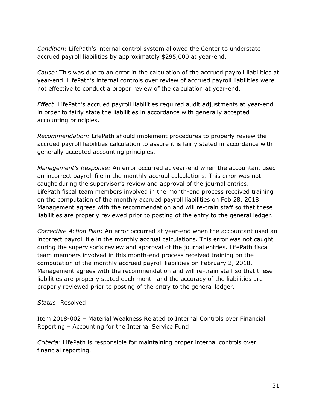*Condition:* LifePath's internal control system allowed the Center to understate accrued payroll liabilities by approximately \$295,000 at year-end.

*Cause:* This was due to an error in the calculation of the accrued payroll liabilities at year-end. LifePath's internal controls over review of accrued payroll liabilities were not effective to conduct a proper review of the calculation at year-end.

*Effect:* LifePath's accrued payroll liabilities required audit adjustments at year-end in order to fairly state the liabilities in accordance with generally accepted accounting principles.

*Recommendation:* LifePath should implement procedures to properly review the accrued payroll liabilities calculation to assure it is fairly stated in accordance with generally accepted accounting principles.

*Management's Response:* An error occurred at year-end when the accountant used an incorrect payroll file in the monthly accrual calculations. This error was not caught during the supervisor's review and approval of the journal entries. LifePath fiscal team members involved in the month-end process received training on the computation of the monthly accrued payroll liabilities on Feb 28, 2018. Management agrees with the recommendation and will re-train staff so that these liabilities are properly reviewed prior to posting of the entry to the general ledger.

*Corrective Action Plan:* An error occurred at year-end when the accountant used an incorrect payroll file in the monthly accrual calculations. This error was not caught during the supervisor's review and approval of the journal entries. LifePath fiscal team members involved in this month-end process received training on the computation of the monthly accrued payroll liabilities on February 2, 2018. Management agrees with the recommendation and will re-train staff so that these liabilities are properly stated each month and the accuracy of the liabilities are properly reviewed prior to posting of the entry to the general ledger.

### *Status*: Resolved

### Item 2018-002 – Material Weakness Related to Internal Controls over Financial Reporting – Accounting for the Internal Service Fund

*Criteria:* LifePath is responsible for maintaining proper internal controls over financial reporting.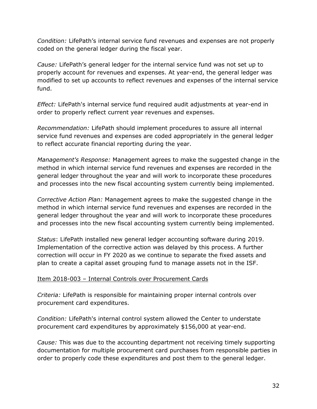*Condition:* LifePath's internal service fund revenues and expenses are not properly coded on the general ledger during the fiscal year.

*Cause:* LifePath's general ledger for the internal service fund was not set up to properly account for revenues and expenses. At year-end, the general ledger was modified to set up accounts to reflect revenues and expenses of the internal service fund.

*Effect:* LifePath's internal service fund required audit adjustments at year-end in order to properly reflect current year revenues and expenses.

*Recommendation:* LifePath should implement procedures to assure all internal service fund revenues and expenses are coded appropriately in the general ledger to reflect accurate financial reporting during the year.

*Management's Response:* Management agrees to make the suggested change in the method in which internal service fund revenues and expenses are recorded in the general ledger throughout the year and will work to incorporate these procedures and processes into the new fiscal accounting system currently being implemented.

*Corrective Action Plan:* Management agrees to make the suggested change in the method in which internal service fund revenues and expenses are recorded in the general ledger throughout the year and will work to incorporate these procedures and processes into the new fiscal accounting system currently being implemented.

*Status*: LifePath installed new general ledger accounting software during 2019. Implementation of the corrective action was delayed by this process. A further correction will occur in FY 2020 as we continue to separate the fixed assets and plan to create a capital asset grouping fund to manage assets not in the ISF.

### Item 2018-003 – Internal Controls over Procurement Cards

*Criteria:* LifePath is responsible for maintaining proper internal controls over procurement card expenditures.

*Condition:* LifePath's internal control system allowed the Center to understate procurement card expenditures by approximately \$156,000 at year-end.

*Cause:* This was due to the accounting department not receiving timely supporting documentation for multiple procurement card purchases from responsible parties in order to properly code these expenditures and post them to the general ledger.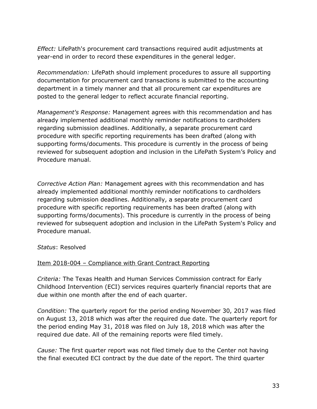*Effect:* LifePath's procurement card transactions required audit adjustments at year-end in order to record these expenditures in the general ledger.

*Recommendation:* LifePath should implement procedures to assure all supporting documentation for procurement card transactions is submitted to the accounting department in a timely manner and that all procurement car expenditures are posted to the general ledger to reflect accurate financial reporting.

*Management's Response:* Management agrees with this recommendation and has already implemented additional monthly reminder notifications to cardholders regarding submission deadlines. Additionally, a separate procurement card procedure with specific reporting requirements has been drafted (along with supporting forms/documents. This procedure is currently in the process of being reviewed for subsequent adoption and inclusion in the LifePath System's Policy and Procedure manual.

*Corrective Action Plan:* Management agrees with this recommendation and has already implemented additional monthly reminder notifications to cardholders regarding submission deadlines. Additionally, a separate procurement card procedure with specific reporting requirements has been drafted (along with supporting forms/documents). This procedure is currently in the process of being reviewed for subsequent adoption and inclusion in the LifePath System's Policy and Procedure manual.

*Status*: Resolved

### Item 2018-004 - Compliance with Grant Contract Reporting

*Criteria:* The Texas Health and Human Services Commission contract for Early Childhood Intervention (ECI) services requires quarterly financial reports that are due within one month after the end of each quarter.

*Condition:* The quarterly report for the period ending November 30, 2017 was filed on August 13, 2018 which was after the required due date. The quarterly report for the period ending May 31, 2018 was filed on July 18, 2018 which was after the required due date. All of the remaining reports were filed timely.

*Cause:* The first quarter report was not filed timely due to the Center not having the final executed ECI contract by the due date of the report. The third quarter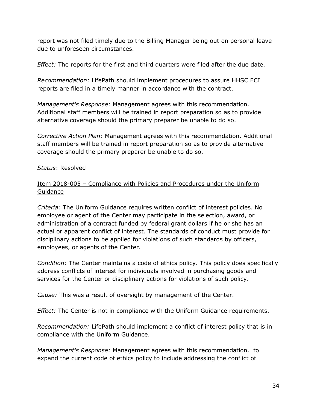report was not filed timely due to the Billing Manager being out on personal leave due to unforeseen circumstances.

*Effect:* The reports for the first and third quarters were filed after the due date.

*Recommendation:* LifePath should implement procedures to assure HHSC ECI reports are filed in a timely manner in accordance with the contract.

*Management's Response:* Management agrees with this recommendation. Additional staff members will be trained in report preparation so as to provide alternative coverage should the primary preparer be unable to do so.

*Corrective Action Plan:* Management agrees with this recommendation. Additional staff members will be trained in report preparation so as to provide alternative coverage should the primary preparer be unable to do so.

*Status*: Resolved

### Item 2018-005 – Compliance with Policies and Procedures under the Uniform Guidance

*Criteria:* The Uniform Guidance requires written conflict of interest policies. No employee or agent of the Center may participate in the selection, award, or administration of a contract funded by federal grant dollars if he or she has an actual or apparent conflict of interest. The standards of conduct must provide for disciplinary actions to be applied for violations of such standards by officers, employees, or agents of the Center.

*Condition:* The Center maintains a code of ethics policy. This policy does specifically address conflicts of interest for individuals involved in purchasing goods and services for the Center or disciplinary actions for violations of such policy.

*Cause:* This was a result of oversight by management of the Center.

*Effect:* The Center is not in compliance with the Uniform Guidance requirements.

*Recommendation:* LifePath should implement a conflict of interest policy that is in compliance with the Uniform Guidance.

*Management's Response:* Management agrees with this recommendation. to expand the current code of ethics policy to include addressing the conflict of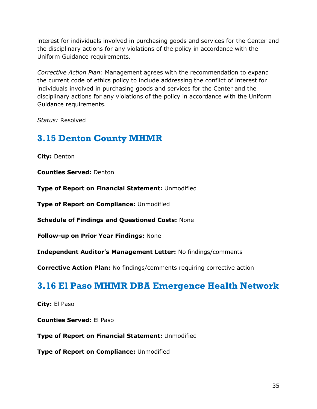interest for individuals involved in purchasing goods and services for the Center and the disciplinary actions for any violations of the policy in accordance with the Uniform Guidance requirements.

*Corrective Action Plan:* Management agrees with the recommendation to expand the current code of ethics policy to include addressing the conflict of interest for individuals involved in purchasing goods and services for the Center and the disciplinary actions for any violations of the policy in accordance with the Uniform Guidance requirements.

*Status:* Resolved

## <span id="page-36-0"></span>**3.15 Denton County MHMR**

**City:** Denton

**Counties Served:** Denton

**Type of Report on Financial Statement:** Unmodified

**Type of Report on Compliance:** Unmodified

**Schedule of Findings and Questioned Costs:** None

**Follow-up on Prior Year Findings:** None

**Independent Auditor's Management Letter:** No findings/comments

**Corrective Action Plan:** No findings/comments requiring corrective action

## <span id="page-36-1"></span>**3.16 El Paso MHMR DBA Emergence Health Network**

**City:** El Paso

**Counties Served:** El Paso

**Type of Report on Financial Statement:** Unmodified

**Type of Report on Compliance:** Unmodified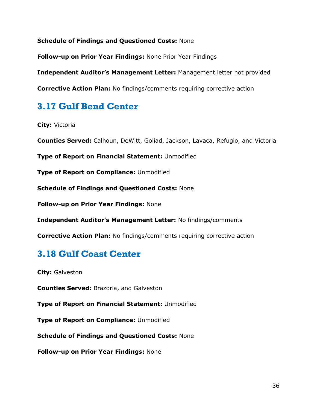**Schedule of Findings and Questioned Costs:** None

**Follow-up on Prior Year Findings:** None Prior Year Findings

**Independent Auditor's Management Letter:** Management letter not provided

**Corrective Action Plan:** No findings/comments requiring corrective action

## <span id="page-37-0"></span>**3.17 Gulf Bend Center**

**City:** Victoria

**Counties Served:** Calhoun, DeWitt, Goliad, Jackson, Lavaca, Refugio, and Victoria

**Type of Report on Financial Statement:** Unmodified

**Type of Report on Compliance:** Unmodified

**Schedule of Findings and Questioned Costs:** None

**Follow-up on Prior Year Findings:** None

**Independent Auditor's Management Letter:** No findings/comments

**Corrective Action Plan:** No findings/comments requiring corrective action

## <span id="page-37-1"></span>**3.18 Gulf Coast Center**

**City:** Galveston

**Counties Served:** Brazoria, and Galveston

**Type of Report on Financial Statement:** Unmodified

**Type of Report on Compliance:** Unmodified

**Schedule of Findings and Questioned Costs:** None

**Follow-up on Prior Year Findings:** None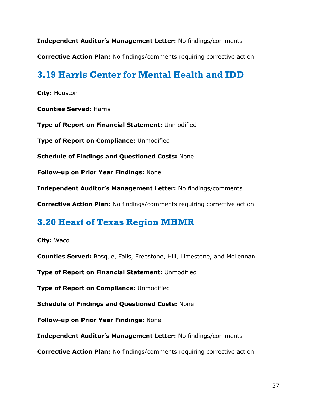**Independent Auditor's Management Letter:** No findings/comments

**Corrective Action Plan:** No findings/comments requiring corrective action

## <span id="page-38-0"></span>**3.19 Harris Center for Mental Health and IDD**

**City:** Houston

**Counties Served:** Harris

**Type of Report on Financial Statement:** Unmodified

**Type of Report on Compliance:** Unmodified

**Schedule of Findings and Questioned Costs:** None

**Follow-up on Prior Year Findings:** None

**Independent Auditor's Management Letter:** No findings/comments

**Corrective Action Plan:** No findings/comments requiring corrective action

### <span id="page-38-1"></span>**3.20 Heart of Texas Region MHMR**

**City:** Waco

**Counties Served:** Bosque, Falls, Freestone, Hill, Limestone, and McLennan

**Type of Report on Financial Statement:** Unmodified

**Type of Report on Compliance:** Unmodified

**Schedule of Findings and Questioned Costs:** None

**Follow-up on Prior Year Findings:** None

**Independent Auditor's Management Letter:** No findings/comments

**Corrective Action Plan:** No findings/comments requiring corrective action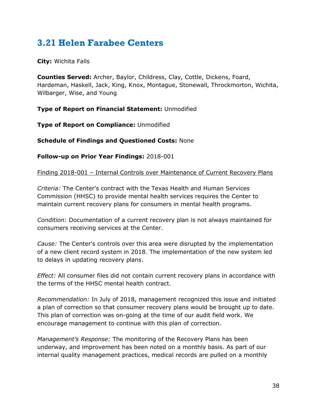## <span id="page-39-0"></span>**3.21 Helen Farabee Centers**

**City:** Wichita Falls

**Counties Served:** Archer, Baylor, Childress, Clay, Cottle, Dickens, Foard, Hardeman, Haskell, Jack, King, Knox, Montague, Stonewall, Throckmorton, Wichita, Wilbarger, Wise, and Young

**Type of Report on Financial Statement:** Unmodified

**Type of Report on Compliance:** Unmodified

**Schedule of Findings and Questioned Costs:** None

**Follow-up on Prior Year Findings:** 2018-001

Finding 2018-001 – Internal Controls over Maintenance of Current Recovery Plans

*Criteria:* The Center's contract with the Texas Health and Human Services Commission (HHSC) to provide mental health services requires the Center to maintain current recovery plans for consumers in mental health programs.

*Condition:* Documentation of a current recovery plan is not always maintained for consumers receiving services at the Center.

*Cause:* The Center's controls over this area were disrupted by the implementation of a new client record system in 2018. The implementation of the new system led to delays in updating recovery plans.

*Effect:* All consumer files did not contain current recovery plans in accordance with the terms of the HHSC mental health contract.

*Recommendation:* In July of 2018, management recognized this issue and initiated a plan of correction so that consumer recovery plans would be brought up to date. This plan of correction was on-going at the time of our audit field work. We encourage management to continue with this plan of correction.

*Management's Response:* The monitoring of the Recovery Plans has been underway, and improvement has been noted on a monthly basis. As part of our internal quality management practices, medical records are pulled on a monthly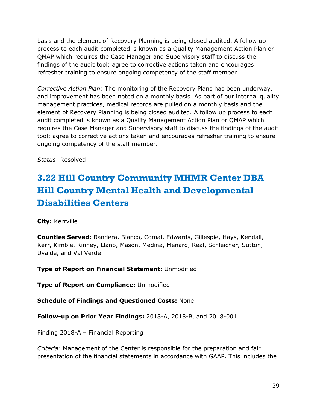basis and the element of Recovery Planning is being closed audited. A follow up process to each audit completed is known as a Quality Management Action Plan or QMAP which requires the Case Manager and Supervisory staff to discuss the findings of the audit tool; agree to corrective actions taken and encourages refresher training to ensure ongoing competency of the staff member.

*Corrective Action Plan:* The monitoring of the Recovery Plans has been underway, and improvement has been noted on a monthly basis. As part of our internal quality management practices, medical records are pulled on a monthly basis and the element of Recovery Planning is being closed audited. A follow up process to each audit completed is known as a Quality Management Action Plan or QMAP which requires the Case Manager and Supervisory staff to discuss the findings of the audit tool; agree to corrective actions taken and encourages refresher training to ensure ongoing competency of the staff member.

*Status*: Resolved

# <span id="page-40-0"></span>**3.22 Hill Country Community MHMR Center DBA Hill Country Mental Health and Developmental Disabilities Centers**

**City:** Kerrville

**Counties Served:** Bandera, Blanco, Comal, Edwards, Gillespie, Hays, Kendall, Kerr, Kimble, Kinney, Llano, Mason, Medina, Menard, Real, Schleicher, Sutton, Uvalde, and Val Verde

**Type of Report on Financial Statement:** Unmodified

**Type of Report on Compliance:** Unmodified

**Schedule of Findings and Questioned Costs:** None

**Follow-up on Prior Year Findings:** 2018-A, 2018-B, and 2018-001

Finding 2018-A – Financial Reporting

*Criteria:* Management of the Center is responsible for the preparation and fair presentation of the financial statements in accordance with GAAP. This includes the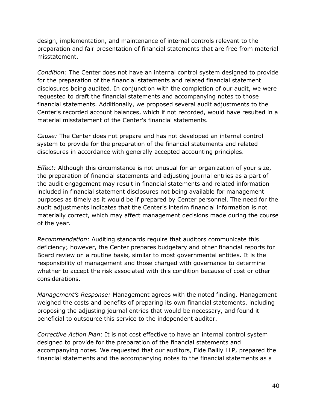design, implementation, and maintenance of internal controls relevant to the preparation and fair presentation of financial statements that are free from material misstatement.

*Condition:* The Center does not have an internal control system designed to provide for the preparation of the financial statements and related financial statement disclosures being audited. In conjunction with the completion of our audit, we were requested to draft the financial statements and accompanying notes to those financial statements. Additionally, we proposed several audit adjustments to the Center's recorded account balances, which if not recorded, would have resulted in a material misstatement of the Center's financial statements.

*Cause:* The Center does not prepare and has not developed an internal control system to provide for the preparation of the financial statements and related disclosures in accordance with generally accepted accounting principles.

*Effect:* Although this circumstance is not unusual for an organization of your size, the preparation of financial statements and adjusting journal entries as a part of the audit engagement may result in financial statements and related information included in financial statement disclosures not being available for management purposes as timely as it would be if prepared by Center personnel. The need for the audit adjustments indicates that the Center's interim financial information is not materially correct, which may affect management decisions made during the course of the year.

*Recommendation:* Auditing standards require that auditors communicate this deficiency; however, the Center prepares budgetary and other financial reports for Board review on a routine basis, similar to most governmental entities. It is the responsibility of management and those charged with governance to determine whether to accept the risk associated with this condition because of cost or other considerations.

*Management's Response:* Management agrees with the noted finding. Management weighed the costs and benefits of preparing its own financial statements, including proposing the adjusting journal entries that would be necessary, and found it beneficial to outsource this service to the independent auditor.

*Corrective Action Plan*: It is not cost effective to have an internal control system designed to provide for the preparation of the financial statements and accompanying notes. We requested that our auditors, Eide Bailly LLP, prepared the financial statements and the accompanying notes to the financial statements as a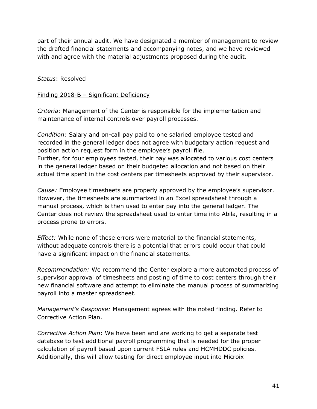part of their annual audit. We have designated a member of management to review the drafted financial statements and accompanying notes, and we have reviewed with and agree with the material adjustments proposed during the audit.

### *Status*: Resolved

### Finding 2018-B – Significant Deficiency

*Criteria:* Management of the Center is responsible for the implementation and maintenance of internal controls over payroll processes.

*Condition:* Salary and on-call pay paid to one salaried employee tested and recorded in the general ledger does not agree with budgetary action request and position action request form in the employee's payroll file. Further, for four employees tested, their pay was allocated to various cost centers in the general ledger based on their budgeted allocation and not based on their actual time spent in the cost centers per timesheets approved by their supervisor.

*Cause:* Employee timesheets are properly approved by the employee's supervisor. However, the timesheets are summarized in an Excel spreadsheet through a manual process, which is then used to enter pay into the general ledger. The Center does not review the spreadsheet used to enter time into Abila, resulting in a process prone to errors.

*Effect:* While none of these errors were material to the financial statements, without adequate controls there is a potential that errors could occur that could have a significant impact on the financial statements.

*Recommendation:* We recommend the Center explore a more automated process of supervisor approval of timesheets and posting of time to cost centers through their new financial software and attempt to eliminate the manual process of summarizing payroll into a master spreadsheet.

*Management's Response:* Management agrees with the noted finding. Refer to Corrective Action Plan.

*Corrective Action Plan*: We have been and are working to get a separate test database to test additional payroll programming that is needed for the proper calculation of payroll based upon current FSLA rules and HCMHDDC policies. Additionally, this will allow testing for direct employee input into Microix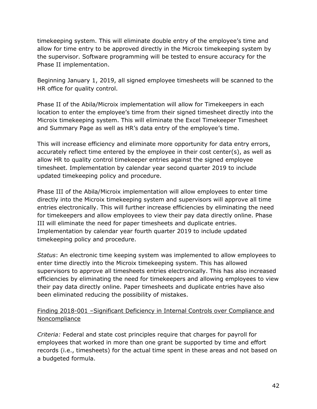timekeeping system. This will eliminate double entry of the employee's time and allow for time entry to be approved directly in the Microix timekeeping system by the supervisor. Software programming will be tested to ensure accuracy for the Phase II implementation.

Beginning January 1, 2019, all signed employee timesheets will be scanned to the HR office for quality control.

Phase II of the Abila/Microix implementation will allow for Timekeepers in each location to enter the employee's time from their signed timesheet directly into the Microix timekeeping system. This will eliminate the Excel Timekeeper Timesheet and Summary Page as well as HR's data entry of the employee's time.

This will increase efficiency and eliminate more opportunity for data entry errors, accurately reflect time entered by the employee in their cost center(s), as well as allow HR to quality control timekeeper entries against the signed employee timesheet. Implementation by calendar year second quarter 2019 to include updated timekeeping policy and procedure.

Phase III of the Abila/Microix implementation will allow employees to enter time directly into the Microix timekeeping system and supervisors will approve all time entries electronically. This will further increase efficiencies by eliminating the need for timekeepers and allow employees to view their pay data directly online. Phase III will eliminate the need for paper timesheets and duplicate entries. Implementation by calendar year fourth quarter 2019 to include updated timekeeping policy and procedure.

*Status*: An electronic time keeping system was implemented to allow employees to enter time directly into the Microix timekeeping system. This has allowed supervisors to approve all timesheets entries electronically. This has also increased efficiencies by eliminating the need for timekeepers and allowing employees to view their pay data directly online. Paper timesheets and duplicate entries have also been eliminated reducing the possibility of mistakes.

### Finding 2018-001 –Significant Deficiency in Internal Controls over Compliance and Noncompliance

*Criteria:* Federal and state cost principles require that charges for payroll for employees that worked in more than one grant be supported by time and effort records (i.e., timesheets) for the actual time spent in these areas and not based on a budgeted formula.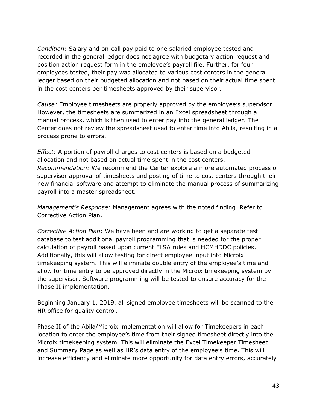*Condition:* Salary and on-call pay paid to one salaried employee tested and recorded in the general ledger does not agree with budgetary action request and position action request form in the employee's payroll file. Further, for four employees tested, their pay was allocated to various cost centers in the general ledger based on their budgeted allocation and not based on their actual time spent in the cost centers per timesheets approved by their supervisor.

*Cause:* Employee timesheets are properly approved by the employee's supervisor. However, the timesheets are summarized in an Excel spreadsheet through a manual process, which is then used to enter pay into the general ledger. The Center does not review the spreadsheet used to enter time into Abila, resulting in a process prone to errors.

*Effect:* A portion of payroll charges to cost centers is based on a budgeted allocation and not based on actual time spent in the cost centers. *Recommendation:* We recommend the Center explore a more automated process of supervisor approval of timesheets and posting of time to cost centers through their new financial software and attempt to eliminate the manual process of summarizing payroll into a master spreadsheet.

*Management's Response:* Management agrees with the noted finding. Refer to Corrective Action Plan.

*Corrective Action Plan*: We have been and are working to get a separate test database to test additional payroll programming that is needed for the proper calculation of payroll based upon current FLSA rules and HCMHDDC policies. Additionally, this will allow testing for direct employee input into Microix timekeeping system. This will eliminate double entry of the employee's time and allow for time entry to be approved directly in the Microix timekeeping system by the supervisor. Software programming will be tested to ensure accuracy for the Phase II implementation.

Beginning January 1, 2019, all signed employee timesheets will be scanned to the HR office for quality control.

Phase II of the Abila/Microix implementation will allow for Timekeepers in each location to enter the employee's time from their signed timesheet directly into the Microix timekeeping system. This will eliminate the Excel Timekeeper Timesheet and Summary Page as well as HR's data entry of the employee's time. This will increase efficiency and eliminate more opportunity for data entry errors, accurately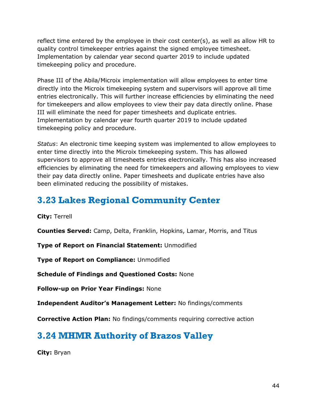reflect time entered by the employee in their cost center(s), as well as allow HR to quality control timekeeper entries against the signed employee timesheet. Implementation by calendar year second quarter 2019 to include updated timekeeping policy and procedure.

Phase III of the Abila/Microix implementation will allow employees to enter time directly into the Microix timekeeping system and supervisors will approve all time entries electronically. This will further increase efficiencies by eliminating the need for timekeepers and allow employees to view their pay data directly online. Phase III will eliminate the need for paper timesheets and duplicate entries. Implementation by calendar year fourth quarter 2019 to include updated timekeeping policy and procedure.

*Status*: An electronic time keeping system was implemented to allow employees to enter time directly into the Microix timekeeping system. This has allowed supervisors to approve all timesheets entries electronically. This has also increased efficiencies by eliminating the need for timekeepers and allowing employees to view their pay data directly online. Paper timesheets and duplicate entries have also been eliminated reducing the possibility of mistakes.

## <span id="page-45-0"></span>**3.23 Lakes Regional Community Center**

**City:** Terrell

**Counties Served:** Camp, Delta, Franklin, Hopkins, Lamar, Morris, and Titus

**Type of Report on Financial Statement:** Unmodified

**Type of Report on Compliance:** Unmodified

**Schedule of Findings and Questioned Costs:** None

**Follow-up on Prior Year Findings:** None

**Independent Auditor's Management Letter:** No findings/comments

**Corrective Action Plan:** No findings/comments requiring corrective action

## <span id="page-45-1"></span>**3.24 MHMR Authority of Brazos Valley**

**City:** Bryan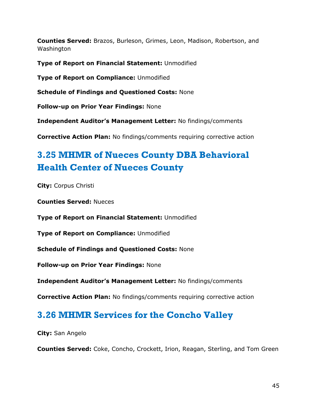**Counties Served:** Brazos, Burleson, Grimes, Leon, Madison, Robertson, and Washington

**Type of Report on Financial Statement:** Unmodified

**Type of Report on Compliance:** Unmodified

**Schedule of Findings and Questioned Costs:** None

**Follow-up on Prior Year Findings:** None

**Independent Auditor's Management Letter:** No findings/comments

**Corrective Action Plan:** No findings/comments requiring corrective action

# <span id="page-46-0"></span>**3.25 MHMR of Nueces County DBA Behavioral Health Center of Nueces County**

**City:** Corpus Christi

**Counties Served:** Nueces

**Type of Report on Financial Statement:** Unmodified

**Type of Report on Compliance:** Unmodified

**Schedule of Findings and Questioned Costs:** None

**Follow-up on Prior Year Findings:** None

**Independent Auditor's Management Letter:** No findings/comments

**Corrective Action Plan:** No findings/comments requiring corrective action

### <span id="page-46-1"></span>**3.26 MHMR Services for the Concho Valley**

**City:** San Angelo

**Counties Served:** Coke, Concho, Crockett, Irion, Reagan, Sterling, and Tom Green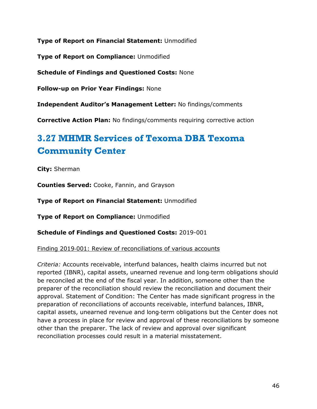**Type of Report on Financial Statement:** Unmodified

**Type of Report on Compliance:** Unmodified

**Schedule of Findings and Questioned Costs:** None

**Follow-up on Prior Year Findings:** None

**Independent Auditor's Management Letter:** No findings/comments

**Corrective Action Plan:** No findings/comments requiring corrective action

# <span id="page-47-0"></span>**3.27 MHMR Services of Texoma DBA Texoma Community Center**

**City:** Sherman

**Counties Served:** Cooke, Fannin, and Grayson

**Type of Report on Financial Statement:** Unmodified

**Type of Report on Compliance:** Unmodified

**Schedule of Findings and Questioned Costs:** 2019-001

Finding 2019‐001: Review of reconciliations of various accounts

*Criteria:* Accounts receivable, interfund balances, health claims incurred but not reported (IBNR), capital assets, unearned revenue and long‐term obligations should be reconciled at the end of the fiscal year. In addition, someone other than the preparer of the reconciliation should review the reconciliation and document their approval. Statement of Condition: The Center has made significant progress in the preparation of reconciliations of accounts receivable, interfund balances, IBNR, capital assets, unearned revenue and long‐term obligations but the Center does not have a process in place for review and approval of these reconciliations by someone other than the preparer. The lack of review and approval over significant reconciliation processes could result in a material misstatement.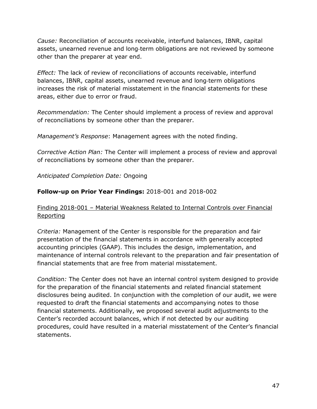*Cause:* Reconciliation of accounts receivable, interfund balances, IBNR, capital assets, unearned revenue and long‐term obligations are not reviewed by someone other than the preparer at year end.

*Effect:* The lack of review of reconciliations of accounts receivable, interfund balances, IBNR, capital assets, unearned revenue and long‐term obligations increases the risk of material misstatement in the financial statements for these areas, either due to error or fraud.

*Recommendation:* The Center should implement a process of review and approval of reconciliations by someone other than the preparer.

*Management's Response*: Management agrees with the noted finding.

*Corrective Action Plan:* The Center will implement a process of review and approval of reconciliations by someone other than the preparer.

*Anticipated Completion Date:* Ongoing

### **Follow-up on Prior Year Findings:** 2018-001 and 2018-002

### Finding 2018-001 – Material Weakness Related to Internal Controls over Financial **Reporting**

*Criteria:* Management of the Center is responsible for the preparation and fair presentation of the financial statements in accordance with generally accepted accounting principles (GAAP). This includes the design, implementation, and maintenance of internal controls relevant to the preparation and fair presentation of financial statements that are free from material misstatement.

*Condition:* The Center does not have an internal control system designed to provide for the preparation of the financial statements and related financial statement disclosures being audited. In conjunction with the completion of our audit, we were requested to draft the financial statements and accompanying notes to those financial statements. Additionally, we proposed several audit adjustments to the Center's recorded account balances, which if not detected by our auditing procedures, could have resulted in a material misstatement of the Center's financial statements.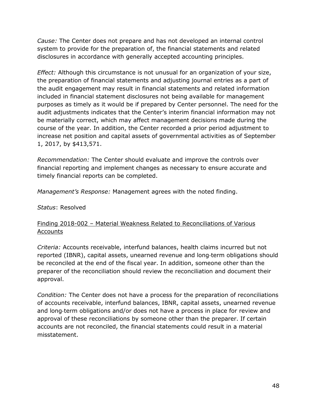*Cause:* The Center does not prepare and has not developed an internal control system to provide for the preparation of, the financial statements and related disclosures in accordance with generally accepted accounting principles.

*Effect:* Although this circumstance is not unusual for an organization of your size, the preparation of financial statements and adjusting journal entries as a part of the audit engagement may result in financial statements and related information included in financial statement disclosures not being available for management purposes as timely as it would be if prepared by Center personnel. The need for the audit adjustments indicates that the Center's interim financial information may not be materially correct, which may affect management decisions made during the course of the year. In addition, the Center recorded a prior period adjustment to increase net position and capital assets of governmental activities as of September 1, 2017, by \$413,571.

*Recommendation:* The Center should evaluate and improve the controls over financial reporting and implement changes as necessary to ensure accurate and timely financial reports can be completed.

*Management's Response:* Management agrees with the noted finding.

*Status*: Resolved

### Finding 2018-002 – Material Weakness Related to Reconciliations of Various Accounts

*Criteria:* Accounts receivable, interfund balances, health claims incurred but not reported (IBNR), capital assets, unearned revenue and long‐term obligations should be reconciled at the end of the fiscal year. In addition, someone other than the preparer of the reconciliation should review the reconciliation and document their approval.

*Condition:* The Center does not have a process for the preparation of reconciliations of accounts receivable, interfund balances, IBNR, capital assets, unearned revenue and long‐term obligations and/or does not have a process in place for review and approval of these reconciliations by someone other than the preparer. If certain accounts are not reconciled, the financial statements could result in a material misstatement.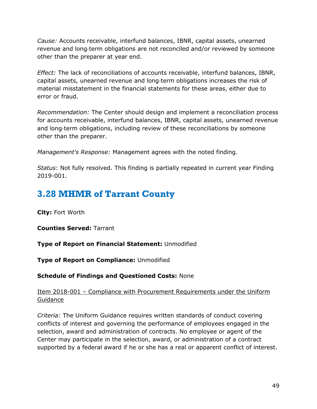*Cause:* Accounts receivable, interfund balances, IBNR, capital assets, unearned revenue and long‐term obligations are not reconciled and/or reviewed by someone other than the preparer at year end.

*Effect:* The lack of reconciliations of accounts receivable, interfund balances, IBNR, capital assets, unearned revenue and long‐term obligations increases the risk of material misstatement in the financial statements for these areas, either due to error or fraud.

*Recommendation:* The Center should design and implement a reconciliation process for accounts receivable, interfund balances, IBNR, capital assets, unearned revenue and long‐term obligations, including review of these reconciliations by someone other than the preparer.

*Management's Response:* Management agrees with the noted finding.

*Status*: Not fully resolved. This finding is partially repeated in current year Finding 2019-001.

### <span id="page-50-0"></span>**3.28 MHMR of Tarrant County**

**City:** Fort Worth

**Counties Served:** Tarrant

**Type of Report on Financial Statement:** Unmodified

**Type of Report on Compliance:** Unmodified

**Schedule of Findings and Questioned Costs:** None

### Item 2018-001 – Compliance with Procurement Requirements under the Uniform Guidance

*Criteria:* The Uniform Guidance requires written standards of conduct covering conflicts of interest and governing the performance of employees engaged in the selection, award and administration of contracts. No employee or agent of the Center may participate in the selection, award, or administration of a contract supported by a federal award if he or she has a real or apparent conflict of interest.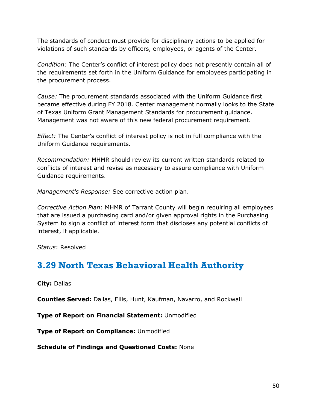The standards of conduct must provide for disciplinary actions to be applied for violations of such standards by officers, employees, or agents of the Center.

*Condition:* The Center's conflict of interest policy does not presently contain all of the requirements set forth in the Uniform Guidance for employees participating in the procurement process.

*Cause:* The procurement standards associated with the Uniform Guidance first became effective during FY 2018. Center management normally looks to the State of Texas Uniform Grant Management Standards for procurement guidance. Management was not aware of this new federal procurement requirement.

*Effect:* The Center's conflict of interest policy is not in full compliance with the Uniform Guidance requirements.

*Recommendation:* MHMR should review its current written standards related to conflicts of interest and revise as necessary to assure compliance with Uniform Guidance requirements.

*Management's Response:* See corrective action plan.

*Corrective Action Plan*: MHMR of Tarrant County will begin requiring all employees that are issued a purchasing card and/or given approval rights in the Purchasing System to sign a conflict of interest form that discloses any potential conflicts of interest, if applicable.

*Status*: Resolved

## <span id="page-51-0"></span>**3.29 North Texas Behavioral Health Authority**

**City:** Dallas

**Counties Served:** Dallas, Ellis, Hunt, Kaufman, Navarro, and Rockwall

**Type of Report on Financial Statement:** Unmodified

**Type of Report on Compliance:** Unmodified

**Schedule of Findings and Questioned Costs:** None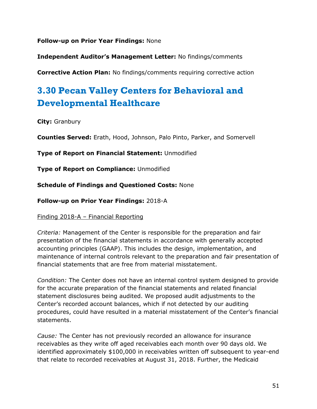**Follow-up on Prior Year Findings:** None

**Independent Auditor's Management Letter:** No findings/comments

**Corrective Action Plan:** No findings/comments requiring corrective action

# <span id="page-52-0"></span>**3.30 Pecan Valley Centers for Behavioral and Developmental Healthcare**

**City:** Granbury

**Counties Served:** Erath, Hood, Johnson, Palo Pinto, Parker, and Somervell

**Type of Report on Financial Statement:** Unmodified

**Type of Report on Compliance:** Unmodified

**Schedule of Findings and Questioned Costs:** None

**Follow-up on Prior Year Findings:** 2018-A

Finding 2018-A – Financial Reporting

*Criteria:* Management of the Center is responsible for the preparation and fair presentation of the financial statements in accordance with generally accepted accounting principles (GAAP). This includes the design, implementation, and maintenance of internal controls relevant to the preparation and fair presentation of financial statements that are free from material misstatement.

*Condition:* The Center does not have an internal control system designed to provide for the accurate preparation of the financial statements and related financial statement disclosures being audited. We proposed audit adjustments to the Center's recorded account balances, which if not detected by our auditing procedures, could have resulted in a material misstatement of the Center's financial statements.

*Cause:* The Center has not previously recorded an allowance for insurance receivables as they write off aged receivables each month over 90 days old. We identified approximately \$100,000 in receivables written off subsequent to year-end that relate to recorded receivables at August 31, 2018. Further, the Medicaid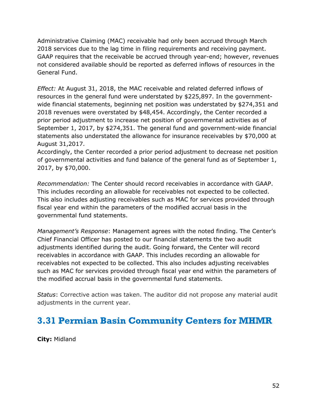Administrative Claiming (MAC) receivable had only been accrued through March 2018 services due to the lag time in filing requirements and receiving payment. GAAP requires that the receivable be accrued through year-end; however, revenues not considered available should be reported as deferred inflows of resources in the General Fund.

*Effect:* At August 31, 2018, the MAC receivable and related deferred inflows of resources in the general fund were understated by \$225,897. In the governmentwide financial statements, beginning net position was understated by \$274,351 and 2018 revenues were overstated by \$48,454. Accordingly, the Center recorded a prior period adjustment to increase net position of governmental activities as of September 1, 2017, by \$274,351. The general fund and government-wide financial statements also understated the allowance for insurance receivables by \$70,000 at August 31,2017.

Accordingly, the Center recorded a prior period adjustment to decrease net position of governmental activities and fund balance of the general fund as of September 1, 2017, by \$70,000.

*Recommendation:* The Center should record receivables in accordance with GAAP. This includes recording an allowable for receivables not expected to be collected. This also includes adjusting receivables such as MAC for services provided through fiscal year end within the parameters of the modified accrual basis in the governmental fund statements.

*Management's Response*: Management agrees with the noted finding. The Center's Chief Financial Officer has posted to our financial statements the two audit adjustments identified during the audit. Going forward, the Center will record receivables in accordance with GAAP. This includes recording an allowable for receivables not expected to be collected. This also includes adjusting receivables such as MAC for services provided through fiscal year end within the parameters of the modified accrual basis in the governmental fund statements.

*Status*: Corrective action was taken. The auditor did not propose any material audit adjustments in the current year.

## <span id="page-53-0"></span>**3.31 Permian Basin Community Centers for MHMR**

**City:** Midland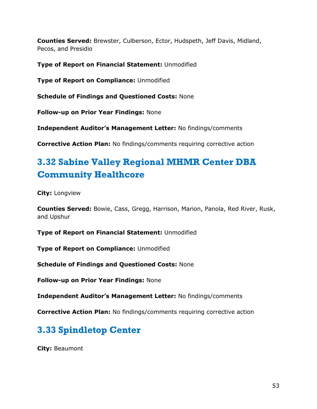**Counties Served:** Brewster, Culberson, Ector, Hudspeth, Jeff Davis, Midland, Pecos, and Presidio

**Type of Report on Financial Statement:** Unmodified

**Type of Report on Compliance:** Unmodified

**Schedule of Findings and Questioned Costs:** None

**Follow-up on Prior Year Findings:** None

**Independent Auditor's Management Letter:** No findings/comments

**Corrective Action Plan:** No findings/comments requiring corrective action

# <span id="page-54-0"></span>**3.32 Sabine Valley Regional MHMR Center DBA Community Healthcore**

**City:** Longview

**Counties Served:** Bowie, Cass, Gregg, Harrison, Marion, Panola, Red River, Rusk, and Upshur

**Type of Report on Financial Statement:** Unmodified

**Type of Report on Compliance:** Unmodified

**Schedule of Findings and Questioned Costs:** None

**Follow-up on Prior Year Findings:** None

**Independent Auditor's Management Letter:** No findings/comments

**Corrective Action Plan:** No findings/comments requiring corrective action

# <span id="page-54-1"></span>**3.33 Spindletop Center**

**City:** Beaumont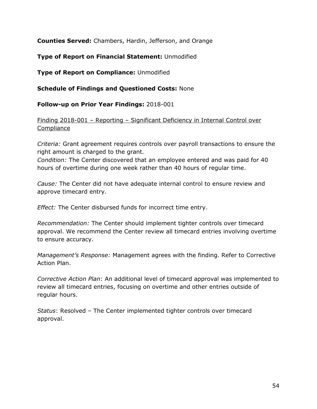**Counties Served:** Chambers, Hardin, Jefferson, and Orange

**Type of Report on Financial Statement:** Unmodified

**Type of Report on Compliance:** Unmodified

**Schedule of Findings and Questioned Costs:** None

**Follow-up on Prior Year Findings:** 2018-001

Finding 2018-001 – Reporting – Significant Deficiency in Internal Control over Compliance

*Criteria:* Grant agreement requires controls over payroll transactions to ensure the right amount is charged to the grant.

*Condition:* The Center discovered that an employee entered and was paid for 40 hours of overtime during one week rather than 40 hours of regular time.

*Cause:* The Center did not have adequate internal control to ensure review and approve timecard entry.

*Effect:* The Center disbursed funds for incorrect time entry.

*Recommendation:* The Center should implement tighter controls over timecard approval. We recommend the Center review all timecard entries involving overtime to ensure accuracy.

*Management's Response:* Management agrees with the finding. Refer to Corrective Action Plan.

*Corrective Action Plan*: An additional level of timecard approval was implemented to review all timecard entries, focusing on overtime and other entries outside of regular hours.

*Status*: Resolved – The Center implemented tighter controls over timecard approval.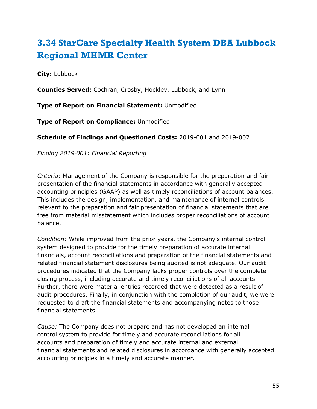# <span id="page-56-0"></span>**3.34 StarCare Specialty Health System DBA Lubbock Regional MHMR Center**

### **City:** Lubbock

**Counties Served:** Cochran, Crosby, Hockley, Lubbock, and Lynn

**Type of Report on Financial Statement:** Unmodified

**Type of Report on Compliance:** Unmodified

**Schedule of Findings and Questioned Costs:** 2019-001 and 2019-002

### *Finding 2019*‐*001: Financial Reporting*

*Criteria:* Management of the Company is responsible for the preparation and fair presentation of the financial statements in accordance with generally accepted accounting principles (GAAP) as well as timely reconciliations of account balances. This includes the design, implementation, and maintenance of internal controls relevant to the preparation and fair presentation of financial statements that are free from material misstatement which includes proper reconciliations of account balance.

*Condition:* While improved from the prior years, the Company's internal control system designed to provide for the timely preparation of accurate internal financials, account reconciliations and preparation of the financial statements and related financial statement disclosures being audited is not adequate. Our audit procedures indicated that the Company lacks proper controls over the complete closing process, including accurate and timely reconciliations of all accounts. Further, there were material entries recorded that were detected as a result of audit procedures. Finally, in conjunction with the completion of our audit, we were requested to draft the financial statements and accompanying notes to those financial statements.

*Cause:* The Company does not prepare and has not developed an internal control system to provide for timely and accurate reconciliations for all accounts and preparation of timely and accurate internal and external financial statements and related disclosures in accordance with generally accepted accounting principles in a timely and accurate manner.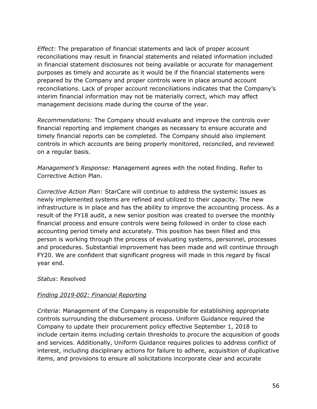*Effect:* The preparation of financial statements and lack of proper account reconciliations may result in financial statements and related information included in financial statement disclosures not being available or accurate for management purposes as timely and accurate as it would be if the financial statements were prepared by the Company and proper controls were in place around account reconciliations. Lack of proper account reconciliations indicates that the Company's interim financial information may not be materially correct, which may affect management decisions made during the course of the year.

*Recommendations:* The Company should evaluate and improve the controls over financial reporting and implement changes as necessary to ensure accurate and timely financial reports can be completed. The Company should also implement controls in which accounts are being properly monitored, reconciled, and reviewed on a regular basis.

*Management's Response:* Management agrees with the noted finding. Refer to Corrective Action Plan.

*Corrective Action Plan*: StarCare will continue to address the systemic issues as newly implemented systems are refined and utilized to their capacity. The new infrastructure is in place and has the ability to improve the accounting process. As a result of the FY18 audit, a new senior position was created to oversee the monthly financial process and ensure controls were being followed in order to close each accounting period timely and accurately. This position has been filled and this person is working through the process of evaluating systems, personnel, processes and procedures. Substantial improvement has been made and will continue through FY20. We are confident that significant progress will made in this regard by fiscal year end.

### *Status*: Resolved

### *Finding 2019*‐*002: Financial Reporting*

*Criteria*: Management of the Company is responsible for establishing appropriate controls surrounding the disbursement process. Uniform Guidance required the Company to update their procurement policy effective September 1, 2018 to include certain items including certain thresholds to procure the acquisition of goods and services. Additionally, Uniform Guidance requires policies to address conflict of interest, including disciplinary actions for failure to adhere, acquisition of duplicative items, and provisions to ensure all solicitations incorporate clear and accurate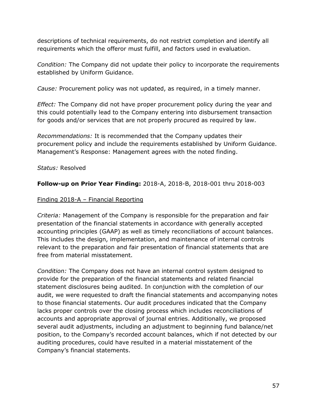descriptions of technical requirements, do not restrict completion and identify all requirements which the offeror must fulfill, and factors used in evaluation.

*Condition:* The Company did not update their policy to incorporate the requirements established by Uniform Guidance.

*Cause:* Procurement policy was not updated, as required, in a timely manner.

*Effect:* The Company did not have proper procurement policy during the year and this could potentially lead to the Company entering into disbursement transaction for goods and/or services that are not properly procured as required by law.

*Recommendations:* It is recommended that the Company updates their procurement policy and include the requirements established by Uniform Guidance. Management's Response: Management agrees with the noted finding.

*Status:* Resolved

### **Follow-up on Prior Year Finding:** 2018-A, 2018-B, 2018-001 thru 2018-003

### Finding 2018-A – Financial Reporting

*Criteria:* Management of the Company is responsible for the preparation and fair presentation of the financial statements in accordance with generally accepted accounting principles (GAAP) as well as timely reconciliations of account balances. This includes the design, implementation, and maintenance of internal controls relevant to the preparation and fair presentation of financial statements that are free from material misstatement.

*Condition:* The Company does not have an internal control system designed to provide for the preparation of the financial statements and related financial statement disclosures being audited. In conjunction with the completion of our audit, we were requested to draft the financial statements and accompanying notes to those financial statements. Our audit procedures indicated that the Company lacks proper controls over the closing process which includes reconciliations of accounts and appropriate approval of journal entries. Additionally, we proposed several audit adjustments, including an adjustment to beginning fund balance/net position, to the Company's recorded account balances, which if not detected by our auditing procedures, could have resulted in a material misstatement of the Company's financial statements.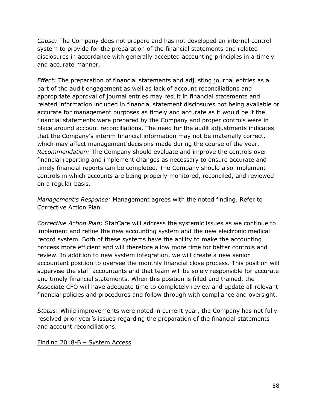*Cause:* The Company does not prepare and has not developed an internal control system to provide for the preparation of the financial statements and related disclosures in accordance with generally accepted accounting principles in a timely and accurate manner.

*Effect:* The preparation of financial statements and adjusting journal entries as a part of the audit engagement as well as lack of account reconciliations and appropriate approval of journal entries may result in financial statements and related information included in financial statement disclosures not being available or accurate for management purposes as timely and accurate as it would be if the financial statements were prepared by the Company and proper controls were in place around account reconciliations. The need for the audit adjustments indicates that the Company's interim financial information may not be materially correct, which may affect management decisions made during the course of the year. *Recommendation:* The Company should evaluate and improve the controls over financial reporting and implement changes as necessary to ensure accurate and timely financial reports can be completed. The Company should also implement controls in which accounts are being properly monitored, reconciled, and reviewed on a regular basis.

*Management's Response:* Management agrees with the noted finding. Refer to Corrective Action Plan.

*Corrective Action Plan:* StarCare will address the systemic issues as we continue to implement and refine the new accounting system and the new electronic medical record system. Both of these systems have the ability to make the accounting process more efficient and will therefore allow more time for better controls and review. In addition to new system integration, we will create a new senior accountant position to oversee the monthly financial close process. This position will supervise the staff accountants and that team will be solely responsible for accurate and timely financial statements. When this position is filled and trained, the Associate CFO will have adequate time to completely review and update all relevant financial policies and procedures and follow through with compliance and oversight.

*Status*: While improvements were noted in current year, the Company has not fully resolved prior year's issues regarding the preparation of the financial statements and account reconciliations.

### Finding 2018-B – System Access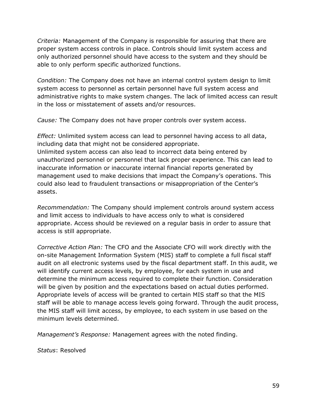*Criteria:* Management of the Company is responsible for assuring that there are proper system access controls in place. Controls should limit system access and only authorized personnel should have access to the system and they should be able to only perform specific authorized functions.

*Condition:* The Company does not have an internal control system design to limit system access to personnel as certain personnel have full system access and administrative rights to make system changes. The lack of limited access can result in the loss or misstatement of assets and/or resources.

*Cause:* The Company does not have proper controls over system access.

*Effect:* Unlimited system access can lead to personnel having access to all data, including data that might not be considered appropriate. Unlimited system access can also lead to incorrect data being entered by unauthorized personnel or personnel that lack proper experience. This can lead to inaccurate information or inaccurate internal financial reports generated by management used to make decisions that impact the Company's operations. This

could also lead to fraudulent transactions or misappropriation of the Center's assets.

*Recommendation:* The Company should implement controls around system access and limit access to individuals to have access only to what is considered appropriate. Access should be reviewed on a regular basis in order to assure that access is still appropriate.

*Corrective Action Plan:* The CFO and the Associate CFO will work directly with the on-site Management Information System (MIS) staff to complete a full fiscal staff audit on all electronic systems used by the fiscal department staff. In this audit, we will identify current access levels, by employee, for each system in use and determine the minimum access required to complete their function. Consideration will be given by position and the expectations based on actual duties performed. Appropriate levels of access will be granted to certain MIS staff so that the MIS staff will be able to manage access levels going forward. Through the audit process, the MIS staff will limit access, by employee, to each system in use based on the minimum levels determined.

*Management's Response:* Management agrees with the noted finding.

*Status*: Resolved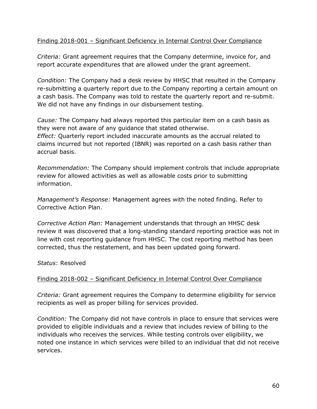### Finding 2018-001 – Significant Deficiency in Internal Control Over Compliance

*Criteria:* Grant agreement requires that the Company determine, invoice for, and report accurate expenditures that are allowed under the grant agreement.

*Condition:* The Company had a desk review by HHSC that resulted in the Company re-submitting a quarterly report due to the Company reporting a certain amount on a cash basis. The Company was told to restate the quarterly report and re-submit. We did not have any findings in our disbursement testing.

*Cause:* The Company had always reported this particular item on a cash basis as they were not aware of any guidance that stated otherwise. *Effect:* Quarterly report included inaccurate amounts as the accrual related to claims incurred but not reported (IBNR) was reported on a cash basis rather than accrual basis.

*Recommendation:* The Company should implement controls that include appropriate review for allowed activities as well as allowable costs prior to submitting information.

*Management's Response:* Management agrees with the noted finding. Refer to Corrective Action Plan.

*Corrective Action Plan:* Management understands that through an HHSC desk review it was discovered that a long-standing standard reporting practice was not in line with cost reporting guidance from HHSC. The cost reporting method has been corrected, thus the restatement, and has been updated going forward.

*Status*: Resolved

### Finding 2018-002 – Significant Deficiency in Internal Control Over Compliance

*Criteria:* Grant agreement requires the Company to determine eligibility for service recipients as well as proper billing for services provided.

*Condition:* The Company did not have controls in place to ensure that services were provided to eligible individuals and a review that includes review of billing to the individuals who receives the services. While testing controls over eligibility, we noted one instance in which services were billed to an individual that did not receive services.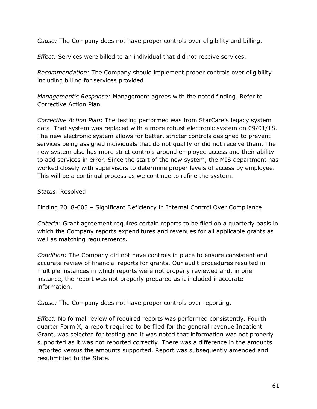*Cause:* The Company does not have proper controls over eligibility and billing.

*Effect:* Services were billed to an individual that did not receive services.

*Recommendation:* The Company should implement proper controls over eligibility including billing for services provided.

*Management's Response:* Management agrees with the noted finding. Refer to Corrective Action Plan.

*Corrective Action Plan*: The testing performed was from StarCare's legacy system data. That system was replaced with a more robust electronic system on 09/01/18. The new electronic system allows for better, stricter controls designed to prevent services being assigned individuals that do not qualify or did not receive them. The new system also has more strict controls around employee access and their ability to add services in error. Since the start of the new system, the MIS department has worked closely with supervisors to determine proper levels of access by employee. This will be a continual process as we continue to refine the system.

### *Status*: Resolved

### Finding 2018-003 – Significant Deficiency in Internal Control Over Compliance

*Criteria:* Grant agreement requires certain reports to be filed on a quarterly basis in which the Company reports expenditures and revenues for all applicable grants as well as matching requirements.

*Condition:* The Company did not have controls in place to ensure consistent and accurate review of financial reports for grants. Our audit procedures resulted in multiple instances in which reports were not properly reviewed and, in one instance, the report was not properly prepared as it included inaccurate information.

*Cause:* The Company does not have proper controls over reporting.

*Effect:* No formal review of required reports was performed consistently. Fourth quarter Form X, a report required to be filed for the general revenue Inpatient Grant, was selected for testing and it was noted that information was not properly supported as it was not reported correctly. There was a difference in the amounts reported versus the amounts supported. Report was subsequently amended and resubmitted to the State.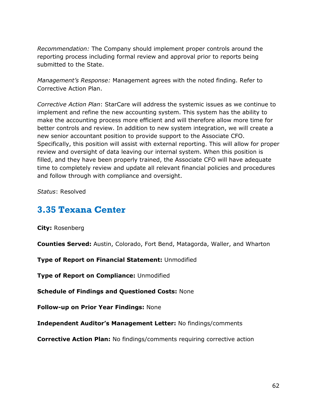*Recommendation:* The Company should implement proper controls around the reporting process including formal review and approval prior to reports being submitted to the State.

*Management's Response:* Management agrees with the noted finding. Refer to Corrective Action Plan.

*Corrective Action Plan*: StarCare will address the systemic issues as we continue to implement and refine the new accounting system. This system has the ability to make the accounting process more efficient and will therefore allow more time for better controls and review. In addition to new system integration, we will create a new senior accountant position to provide support to the Associate CFO. Specifically, this position will assist with external reporting. This will allow for proper review and oversight of data leaving our internal system. When this position is filled, and they have been properly trained, the Associate CFO will have adequate time to completely review and update all relevant financial policies and procedures and follow through with compliance and oversight.

*Status*: Resolved

### <span id="page-63-0"></span>**3.35 Texana Center**

**City:** Rosenberg

**Counties Served:** Austin, Colorado, Fort Bend, Matagorda, Waller, and Wharton

**Type of Report on Financial Statement:** Unmodified

**Type of Report on Compliance:** Unmodified

**Schedule of Findings and Questioned Costs:** None

**Follow-up on Prior Year Findings:** None

**Independent Auditor's Management Letter:** No findings/comments

**Corrective Action Plan:** No findings/comments requiring corrective action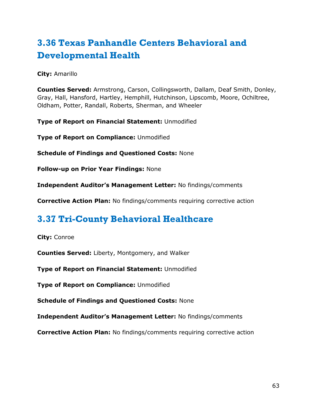# <span id="page-64-0"></span>**3.36 Texas Panhandle Centers Behavioral and Developmental Health**

**City:** Amarillo

**Counties Served:** Armstrong, Carson, Collingsworth, Dallam, Deaf Smith, Donley, Gray, Hall, Hansford, Hartley, Hemphill, Hutchinson, Lipscomb, Moore, Ochiltree, Oldham, Potter, Randall, Roberts, Sherman, and Wheeler

**Type of Report on Financial Statement:** Unmodified

**Type of Report on Compliance:** Unmodified

**Schedule of Findings and Questioned Costs:** None

**Follow-up on Prior Year Findings:** None

**Independent Auditor's Management Letter:** No findings/comments

**Corrective Action Plan:** No findings/comments requiring corrective action

## <span id="page-64-1"></span>**3.37 Tri-County Behavioral Healthcare**

**City:** Conroe

**Counties Served:** Liberty, Montgomery, and Walker

**Type of Report on Financial Statement:** Unmodified

**Type of Report on Compliance:** Unmodified

**Schedule of Findings and Questioned Costs:** None

**Independent Auditor's Management Letter:** No findings/comments

**Corrective Action Plan:** No findings/comments requiring corrective action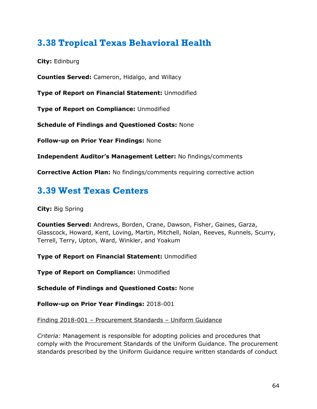## <span id="page-65-0"></span>**3.38 Tropical Texas Behavioral Health**

**City:** Edinburg

**Counties Served:** Cameron, Hidalgo, and Willacy

**Type of Report on Financial Statement:** Unmodified

**Type of Report on Compliance:** Unmodified

**Schedule of Findings and Questioned Costs:** None

**Follow-up on Prior Year Findings:** None

**Independent Auditor's Management Letter:** No findings/comments

**Corrective Action Plan:** No findings/comments requiring corrective action

### <span id="page-65-1"></span>**3.39 West Texas Centers**

**City:** Big Spring

**Counties Served:** Andrews, Borden, Crane, Dawson, Fisher, Gaines, Garza, Glasscock, Howard, Kent, Loving, Martin, Mitchell, Nolan, Reeves, Runnels, Scurry, Terrell, Terry, Upton, Ward, Winkler, and Yoakum

**Type of Report on Financial Statement:** Unmodified

**Type of Report on Compliance:** Unmodified

**Schedule of Findings and Questioned Costs:** None

**Follow-up on Prior Year Findings:** 2018-001

### Finding 2018-001 – Procurement Standards – Uniform Guidance

*Criteria:* Management is responsible for adopting policies and procedures that comply with the Procurement Standards of the Uniform Guidance. The procurement standards prescribed by the Uniform Guidance require written standards of conduct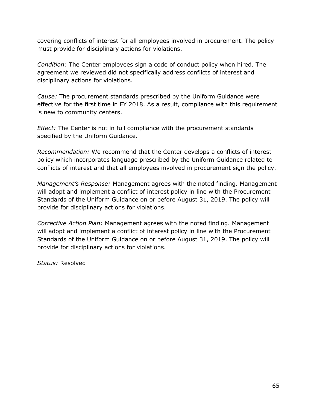covering conflicts of interest for all employees involved in procurement. The policy must provide for disciplinary actions for violations.

*Condition:* The Center employees sign a code of conduct policy when hired. The agreement we reviewed did not specifically address conflicts of interest and disciplinary actions for violations.

*Cause:* The procurement standards prescribed by the Uniform Guidance were effective for the first time in FY 2018. As a result, compliance with this requirement is new to community centers.

*Effect:* The Center is not in full compliance with the procurement standards specified by the Uniform Guidance.

*Recommendation:* We recommend that the Center develops a conflicts of interest policy which incorporates language prescribed by the Uniform Guidance related to conflicts of interest and that all employees involved in procurement sign the policy.

*Management's Response:* Management agrees with the noted finding. Management will adopt and implement a conflict of interest policy in line with the Procurement Standards of the Uniform Guidance on or before August 31, 2019. The policy will provide for disciplinary actions for violations.

*Corrective Action Plan:* Management agrees with the noted finding. Management will adopt and implement a conflict of interest policy in line with the Procurement Standards of the Uniform Guidance on or before August 31, 2019. The policy will provide for disciplinary actions for violations.

*Status:* Resolved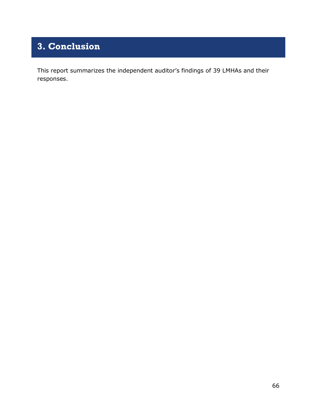# <span id="page-67-0"></span>**3. Conclusion**

This report summarizes the independent auditor's findings of 39 LMHAs and their responses.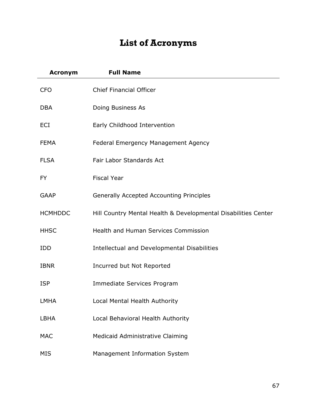# **List of Acronyms**

<span id="page-68-0"></span>

| <b>Acronym</b> | <b>Full Name</b>                                               |
|----------------|----------------------------------------------------------------|
| <b>CFO</b>     | <b>Chief Financial Officer</b>                                 |
| <b>DBA</b>     | Doing Business As                                              |
| ECI            | Early Childhood Intervention                                   |
| <b>FEMA</b>    | Federal Emergency Management Agency                            |
| <b>FLSA</b>    | Fair Labor Standards Act                                       |
| <b>FY</b>      | <b>Fiscal Year</b>                                             |
| <b>GAAP</b>    | <b>Generally Accepted Accounting Principles</b>                |
| <b>HCMHDDC</b> | Hill Country Mental Health & Developmental Disabilities Center |
| <b>HHSC</b>    | Health and Human Services Commission                           |
| <b>IDD</b>     | Intellectual and Developmental Disabilities                    |
| <b>IBNR</b>    | Incurred but Not Reported                                      |
| <b>ISP</b>     | Immediate Services Program                                     |
| <b>LMHA</b>    | Local Mental Health Authority                                  |
| LBHA           | Local Behavioral Health Authority                              |
| <b>MAC</b>     | Medicaid Administrative Claiming                               |
| <b>MIS</b>     | Management Information System                                  |